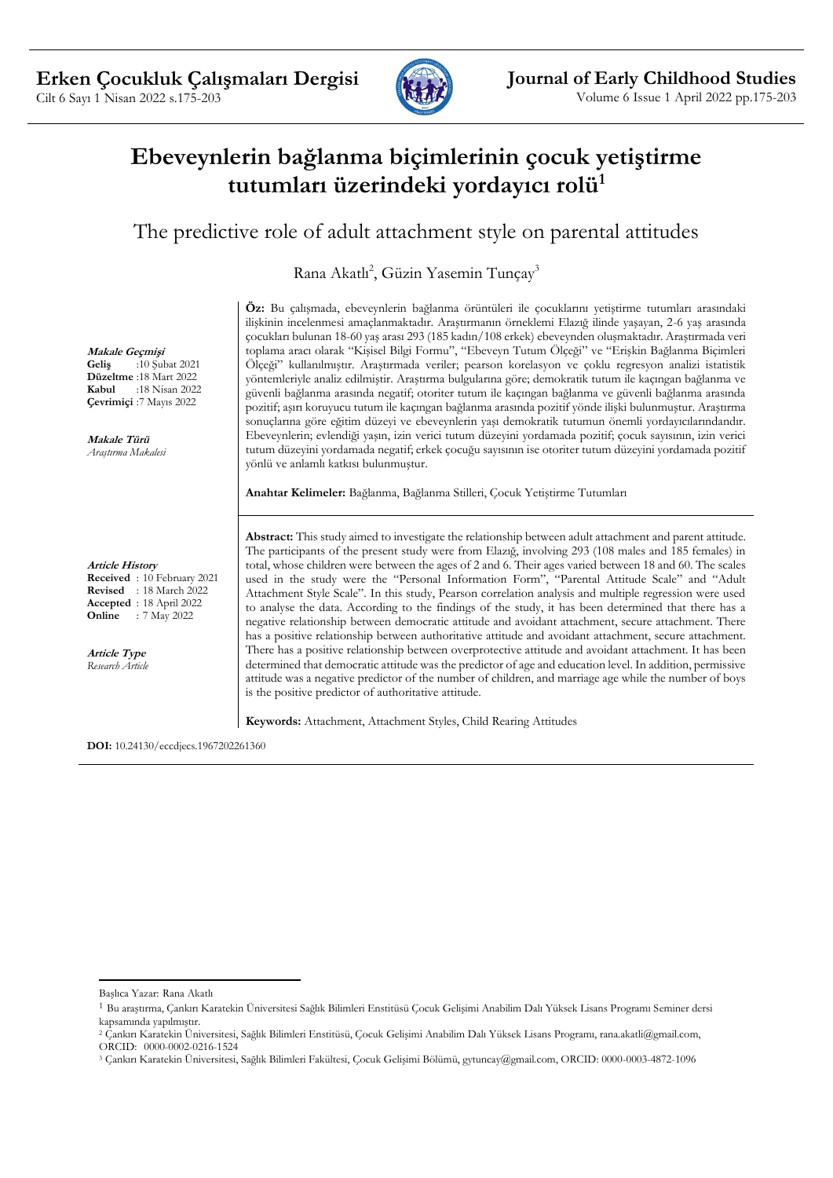

# **Ebeveynlerin bağlanma biçimlerinin çocuk yetiştirme tutumları üzerindeki yordayıcı rolü<sup>1</sup>**

## The predictive role of adult attachment style on parental attitudes

Rana Akatlı<sup>2</sup>, Güzin Yasemin Tunçay<sup>3</sup>

**Öz:** Bu çalışmada, ebeveynlerin bağlanma örüntüleri ile çocuklarını yetiştirme tutumları arasındaki ilişkinin incelenmesi amaçlanmaktadır. Araştırmanın örneklemi Elazığ ilinde yaşayan, 2-6 yaş arasında çocukları bulunan 18-60 yaş arası 293 (185 kadın/108 erkek) ebeveynden oluşmaktadır. Araştırmada veri toplama aracı olarak "Kişisel Bilgi Formu", "Ebeveyn Tutum Ölçeği" ve "Erişkin Bağlanma Biçimleri Ölçeği" kullanılmıştır. Araştırmada veriler; pearson korelasyon ve çoklu regresyon analizi istatistik yöntemleriyle analiz edilmiştir. Araştırma bulgularına göre; demokratik tutum ile kaçıngan bağlanma ve güvenli bağlanma arasında negatif; otoriter tutum ile kaçıngan bağlanma ve güvenli bağlanma arasında pozitif; aşırı koruyucu tutum ile kaçıngan bağlanma arasında pozitif yönde ilişki bulunmuştur. Araştırma sonuçlarına göre eğitim düzeyi ve ebeveynlerin yaşı demokratik tutumun önemli yordayıcılarındandır. Ebeveynlerin; evlendiği yaşın, izin verici tutum düzeyini yordamada pozitif; çocuk sayısının, izin verici tutum düzeyini yordamada negatif; erkek çocuğu sayısının ise otoriter tutum düzeyini yordamada pozitif yönlü ve anlamlı katkısı bulunmuştur.

**Anahtar Kelimeler:** Bağlanma, Bağlanma Stilleri, Çocuk Yetiştirme Tutumları

**Abstract:** This study aimed to investigate the relationship between adult attachment and parent attitude. The participants of the present study were from Elazığ, involving 293 (108 males and 185 females) in total, whose children were between the ages of 2 and 6. Their ages varied between 18 and 60. The scales used in the study were the "Personal Information Form", "Parental Attitude Scale" and "Adult Attachment Style Scale". In this study, Pearson correlation analysis and multiple regression were used to analyse the data. According to the findings of the study, it has been determined that there has a negative relationship between democratic attitude and avoidant attachment, secure attachment. There has a positive relationship between authoritative attitude and avoidant attachment, secure attachment. There has a positive relationship between overprotective attitude and avoidant attachment. It has been determined that democratic attitude was the predictor of age and education level. In addition, permissive attitude was a negative predictor of the number of children, and marriage age while the number of boys is the positive predictor of authoritative attitude.

**Keywords:** Attachment, Attachment Styles, Child Rearing Attitudes

**DOI:** 10.24130/eccdjecs.1967202261360

**Makale Geçmişi Geliş** :10 Şubat 2021 **Düzeltme** :18 Mart 2022<br>**Kabul** :18 Nisan 2022 **Kabul** :18 Nisan 2022 **Çevrimiçi** :7 Mayıs 2022

**Makale Türü** *Araştırma Makalesi*

**Article History**

**Received** : 10 February 2021 **Revised** : 18 March 2022 **Accepted** : 18 April 2022 **Online** : 7 May 2022

**Article Type** *Research Article*

Başlıca Yazar: Rana Akatlı

<sup>1</sup> Bu araştırma, Çankırı Karatekin Üniversitesi Sağlık Bilimleri Enstitüsü Çocuk Gelişimi Anabilim Dalı Yüksek Lisans Programı Seminer dersi kapsamında yapılmıştır.

<sup>2</sup> Çankırı Karatekin Üniversitesi, Sağlık Bilimleri Enstitüsü, Çocuk Gelişimi Anabilim Dalı Yüksek Lisans Programı, rana.akatli@gmail.com, ORCID: 0000-0002-0216-1524

<sup>3</sup> Çankırı Karatekin Üniversitesi, Sağlık Bilimleri Fakültesi, Çocuk Gelişimi Bölümü, gytuncay@gmail.com, ORCID: 0000-0003-4872-1096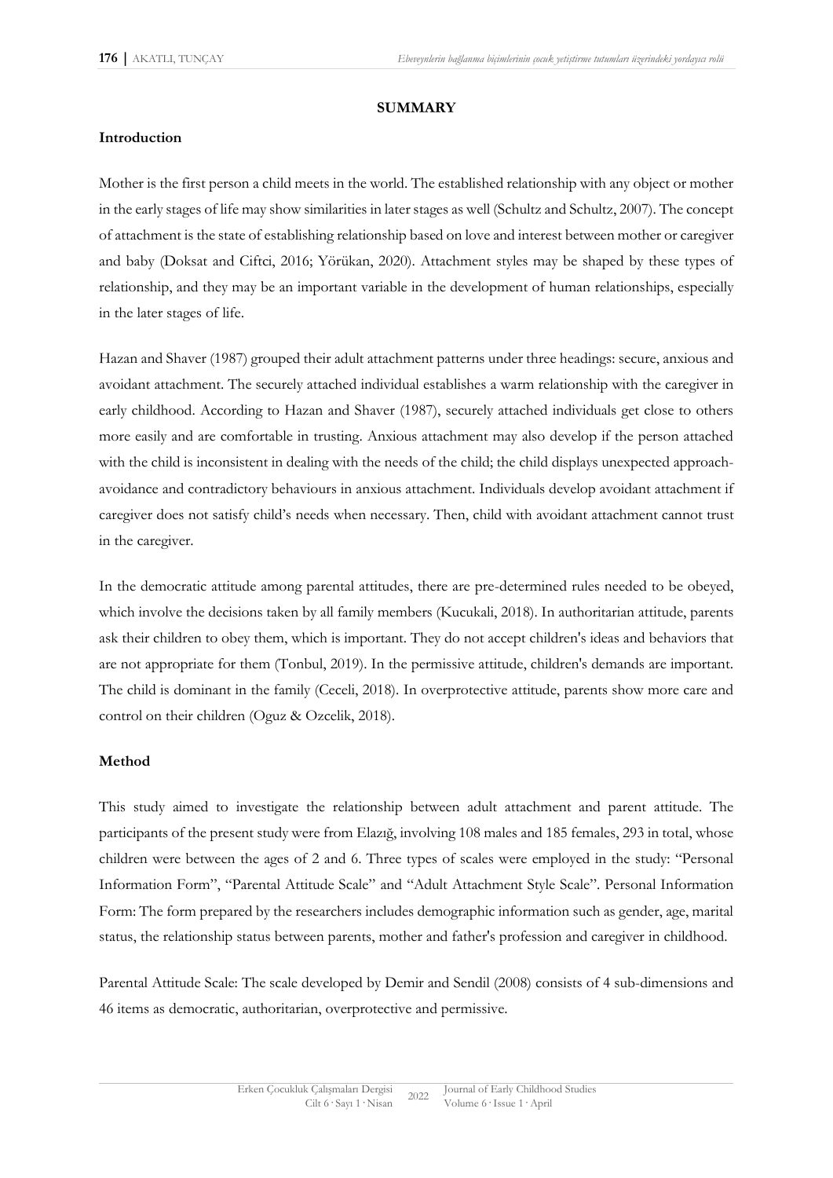#### **SUMMARY**

#### **Introduction**

Mother is the first person a child meets in the world. The established relationship with any object or mother in the early stages of life may show similarities in later stages as well (Schultz and Schultz, 2007). The concept of attachment is the state of establishing relationship based on love and interest between mother or caregiver and baby (Doksat and Ciftci, 2016; Yörükan, 2020). Attachment styles may be shaped by these types of relationship, and they may be an important variable in the development of human relationships, especially in the later stages of life.

Hazan and Shaver (1987) grouped their adult attachment patterns under three headings: secure, anxious and avoidant attachment. The securely attached individual establishes a warm relationship with the caregiver in early childhood. According to Hazan and Shaver (1987), securely attached individuals get close to others more easily and are comfortable in trusting. Anxious attachment may also develop if the person attached with the child is inconsistent in dealing with the needs of the child; the child displays unexpected approachavoidance and contradictory behaviours in anxious attachment. Individuals develop avoidant attachment if caregiver does not satisfy child's needs when necessary. Then, child with avoidant attachment cannot trust in the caregiver.

In the democratic attitude among parental attitudes, there are pre-determined rules needed to be obeyed, which involve the decisions taken by all family members (Kucukali, 2018). In authoritarian attitude, parents ask their children to obey them, which is important. They do not accept children's ideas and behaviors that are not appropriate for them (Tonbul, 2019). In the permissive attitude, children's demands are important. The child is dominant in the family (Ceceli, 2018). In overprotective attitude, parents show more care and control on their children (Oguz & Ozcelik, 2018).

#### **Method**

This study aimed to investigate the relationship between adult attachment and parent attitude. The participants of the present study were from Elazığ, involving 108 males and 185 females, 293 in total, whose children were between the ages of 2 and 6. Three types of scales were employed in the study: "Personal Information Form", "Parental Attitude Scale" and "Adult Attachment Style Scale". Personal Information Form: The form prepared by the researchers includes demographic information such as gender, age, marital status, the relationship status between parents, mother and father's profession and caregiver in childhood.

Parental Attitude Scale: The scale developed by Demir and Sendil (2008) consists of 4 sub-dimensions and 46 items as democratic, authoritarian, overprotective and permissive.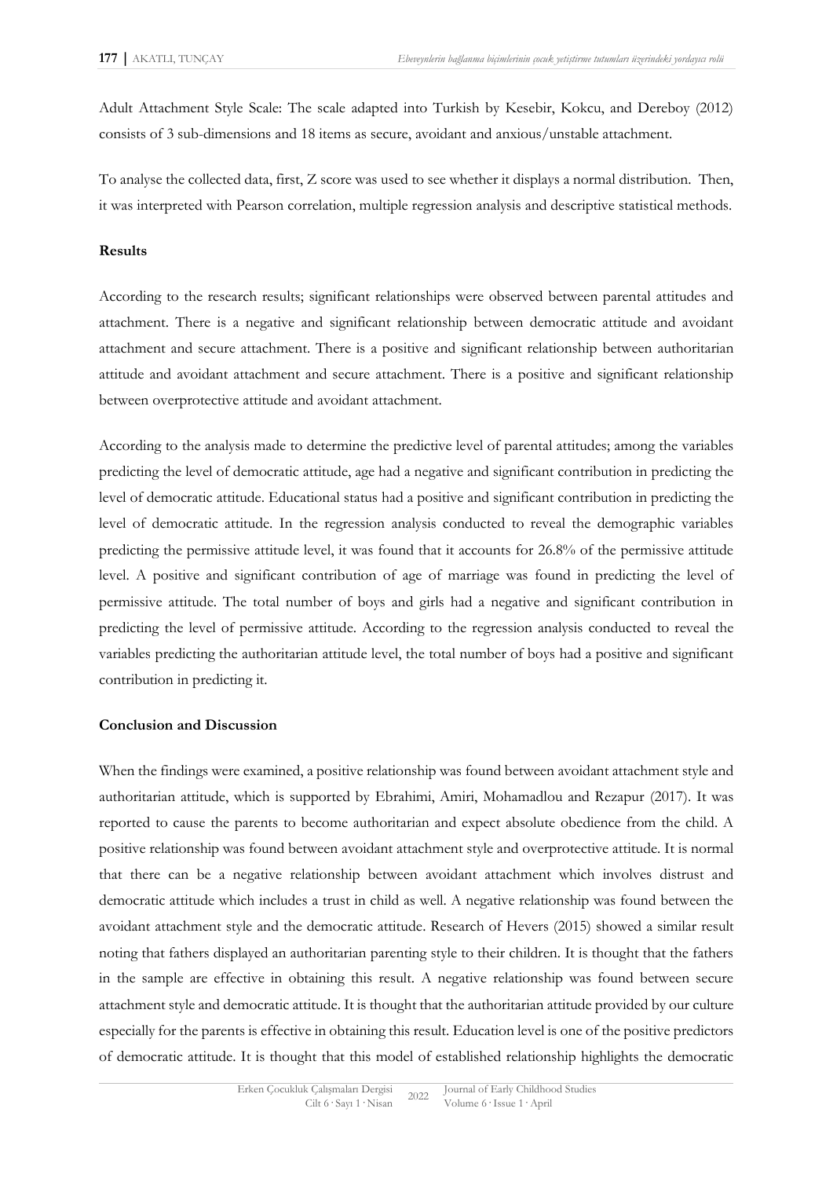Adult Attachment Style Scale: The scale adapted into Turkish by Kesebir, Kokcu, and Dereboy (2012) consists of 3 sub-dimensions and 18 items as secure, avoidant and anxious/unstable attachment.

To analyse the collected data, first, Z score was used to see whether it displays a normal distribution. Then, it was interpreted with Pearson correlation, multiple regression analysis and descriptive statistical methods.

#### **Results**

According to the research results; significant relationships were observed between parental attitudes and attachment. There is a negative and significant relationship between democratic attitude and avoidant attachment and secure attachment. There is a positive and significant relationship between authoritarian attitude and avoidant attachment and secure attachment. There is a positive and significant relationship between overprotective attitude and avoidant attachment.

According to the analysis made to determine the predictive level of parental attitudes; among the variables predicting the level of democratic attitude, age had a negative and significant contribution in predicting the level of democratic attitude. Educational status had a positive and significant contribution in predicting the level of democratic attitude. In the regression analysis conducted to reveal the demographic variables predicting the permissive attitude level, it was found that it accounts for 26.8% of the permissive attitude level. A positive and significant contribution of age of marriage was found in predicting the level of permissive attitude. The total number of boys and girls had a negative and significant contribution in predicting the level of permissive attitude. According to the regression analysis conducted to reveal the variables predicting the authoritarian attitude level, the total number of boys had a positive and significant contribution in predicting it.

#### **Conclusion and Discussion**

When the findings were examined, a positive relationship was found between avoidant attachment style and authoritarian attitude, which is supported by Ebrahimi, Amiri, Mohamadlou and Rezapur (2017). It was reported to cause the parents to become authoritarian and expect absolute obedience from the child. A positive relationship was found between avoidant attachment style and overprotective attitude. It is normal that there can be a negative relationship between avoidant attachment which involves distrust and democratic attitude which includes a trust in child as well. A negative relationship was found between the avoidant attachment style and the democratic attitude. Research of Hevers (2015) showed a similar result noting that fathers displayed an authoritarian parenting style to their children. It is thought that the fathers in the sample are effective in obtaining this result. A negative relationship was found between secure attachment style and democratic attitude. It is thought that the authoritarian attitude provided by our culture especially for the parents is effective in obtaining this result. Education level is one of the positive predictors of democratic attitude. It is thought that this model of established relationship highlights the democratic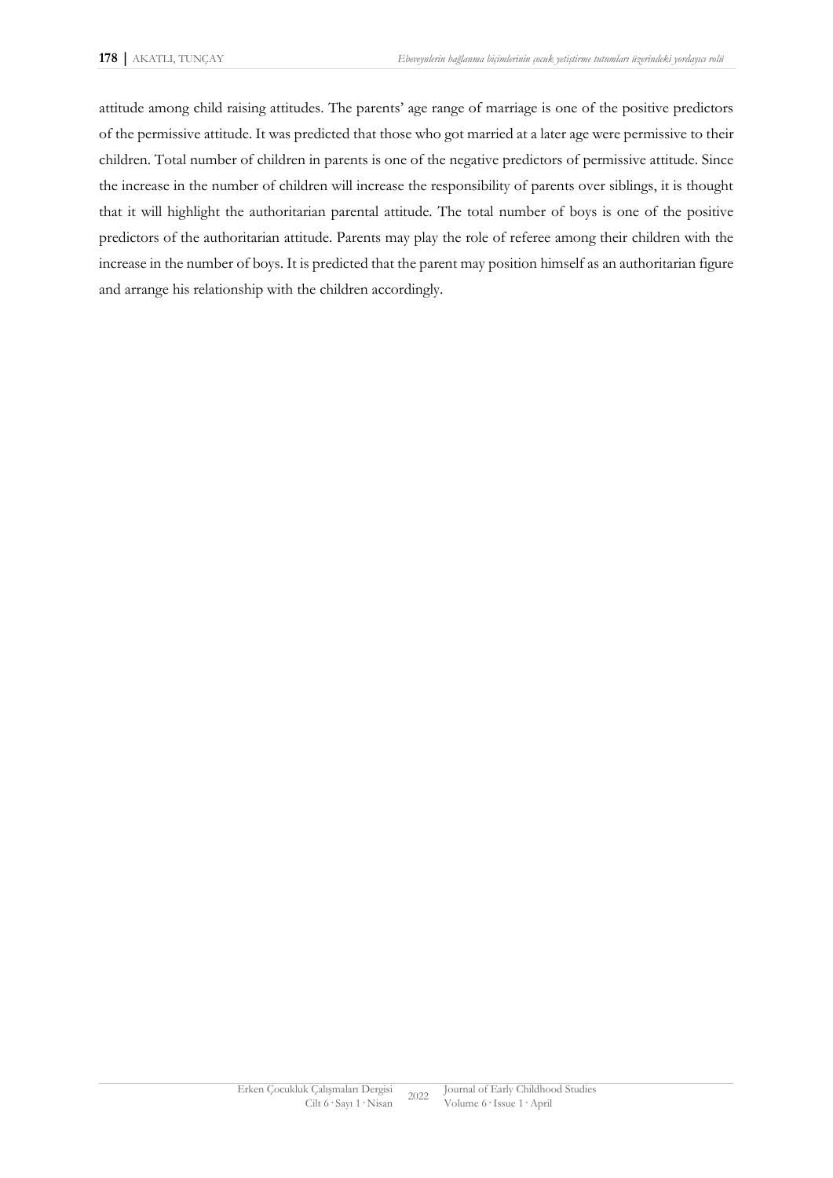attitude among child raising attitudes. The parents' age range of marriage is one of the positive predictors of the permissive attitude. It was predicted that those who got married at a later age were permissive to their children. Total number of children in parents is one of the negative predictors of permissive attitude. Since the increase in the number of children will increase the responsibility of parents over siblings, it is thought that it will highlight the authoritarian parental attitude. The total number of boys is one of the positive predictors of the authoritarian attitude. Parents may play the role of referee among their children with the increase in the number of boys. It is predicted that the parent may position himself as an authoritarian figure and arrange his relationship with the children accordingly.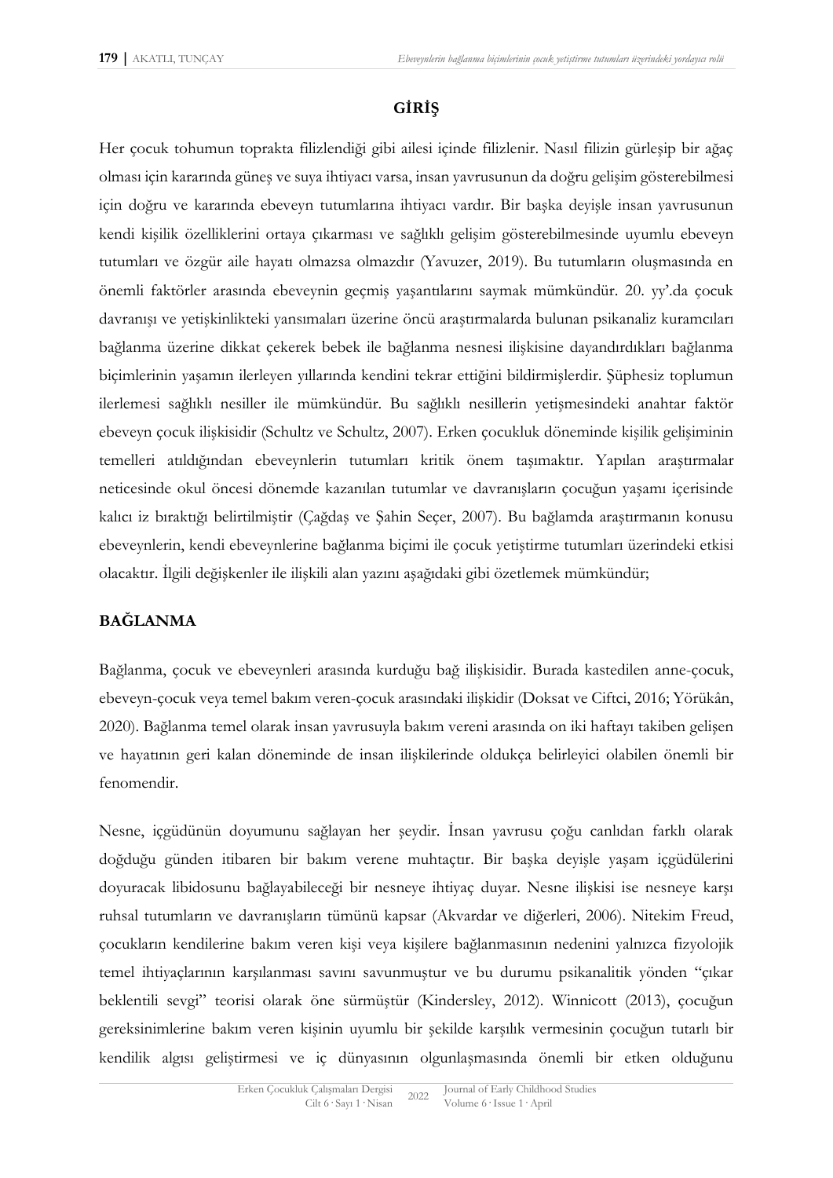## **GİRİŞ**

Her çocuk tohumun toprakta filizlendiği gibi ailesi içinde filizlenir. Nasıl filizin gürleşip bir ağaç olması için kararında güneş ve suya ihtiyacı varsa, insan yavrusunun da doğru gelişim gösterebilmesi için doğru ve kararında ebeveyn tutumlarına ihtiyacı vardır. Bir başka deyişle insan yavrusunun kendi kişilik özelliklerini ortaya çıkarması ve sağlıklı gelişim gösterebilmesinde uyumlu ebeveyn tutumları ve özgür aile hayatı olmazsa olmazdır (Yavuzer, 2019). Bu tutumların oluşmasında en önemli faktörler arasında ebeveynin geçmiş yaşantılarını saymak mümkündür. 20. yy'.da çocuk davranışı ve yetişkinlikteki yansımaları üzerine öncü araştırmalarda bulunan psikanaliz kuramcıları bağlanma üzerine dikkat çekerek bebek ile bağlanma nesnesi ilişkisine dayandırdıkları bağlanma biçimlerinin yaşamın ilerleyen yıllarında kendini tekrar ettiğini bildirmişlerdir. Şüphesiz toplumun ilerlemesi sağlıklı nesiller ile mümkündür. Bu sağlıklı nesillerin yetişmesindeki anahtar faktör ebeveyn çocuk ilişkisidir (Schultz ve Schultz, 2007). Erken çocukluk döneminde kişilik gelişiminin temelleri atıldığından ebeveynlerin tutumları kritik önem taşımaktır. Yapılan araştırmalar neticesinde okul öncesi dönemde kazanılan tutumlar ve davranışların çocuğun yaşamı içerisinde kalıcı iz bıraktığı belirtilmiştir (Çağdaş ve Şahin Seçer, 2007). Bu bağlamda araştırmanın konusu ebeveynlerin, kendi ebeveynlerine bağlanma biçimi ile çocuk yetiştirme tutumları üzerindeki etkisi olacaktır. İlgili değişkenler ile ilişkili alan yazını aşağıdaki gibi özetlemek mümkündür;

## **BAĞLANMA**

Bağlanma, çocuk ve ebeveynleri arasında kurduğu bağ ilişkisidir. Burada kastedilen anne-çocuk, ebeveyn-çocuk veya temel bakım veren-çocuk arasındaki ilişkidir (Doksat ve Ciftci, 2016; Yörükân, 2020). Bağlanma temel olarak insan yavrusuyla bakım vereni arasında on iki haftayı takiben gelişen ve hayatının geri kalan döneminde de insan ilişkilerinde oldukça belirleyici olabilen önemli bir fenomendir.

Nesne, içgüdünün doyumunu sağlayan her şeydir. İnsan yavrusu çoğu canlıdan farklı olarak doğduğu günden itibaren bir bakım verene muhtaçtır. Bir başka deyişle yaşam içgüdülerini doyuracak libidosunu bağlayabileceği bir nesneye ihtiyaç duyar. Nesne ilişkisi ise nesneye karşı ruhsal tutumların ve davranışların tümünü kapsar (Akvardar ve diğerleri, 2006). Nitekim Freud, çocukların kendilerine bakım veren kişi veya kişilere bağlanmasının nedenini yalnızca fizyolojik temel ihtiyaçlarının karşılanması savını savunmuştur ve bu durumu psikanalitik yönden "çıkar beklentili sevgi" teorisi olarak öne sürmüştür (Kindersley, 2012). Winnicott (2013), çocuğun gereksinimlerine bakım veren kişinin uyumlu bir şekilde karşılık vermesinin çocuğun tutarlı bir kendilik algısı geliştirmesi ve iç dünyasının olgunlaşmasında önemli bir etken olduğunu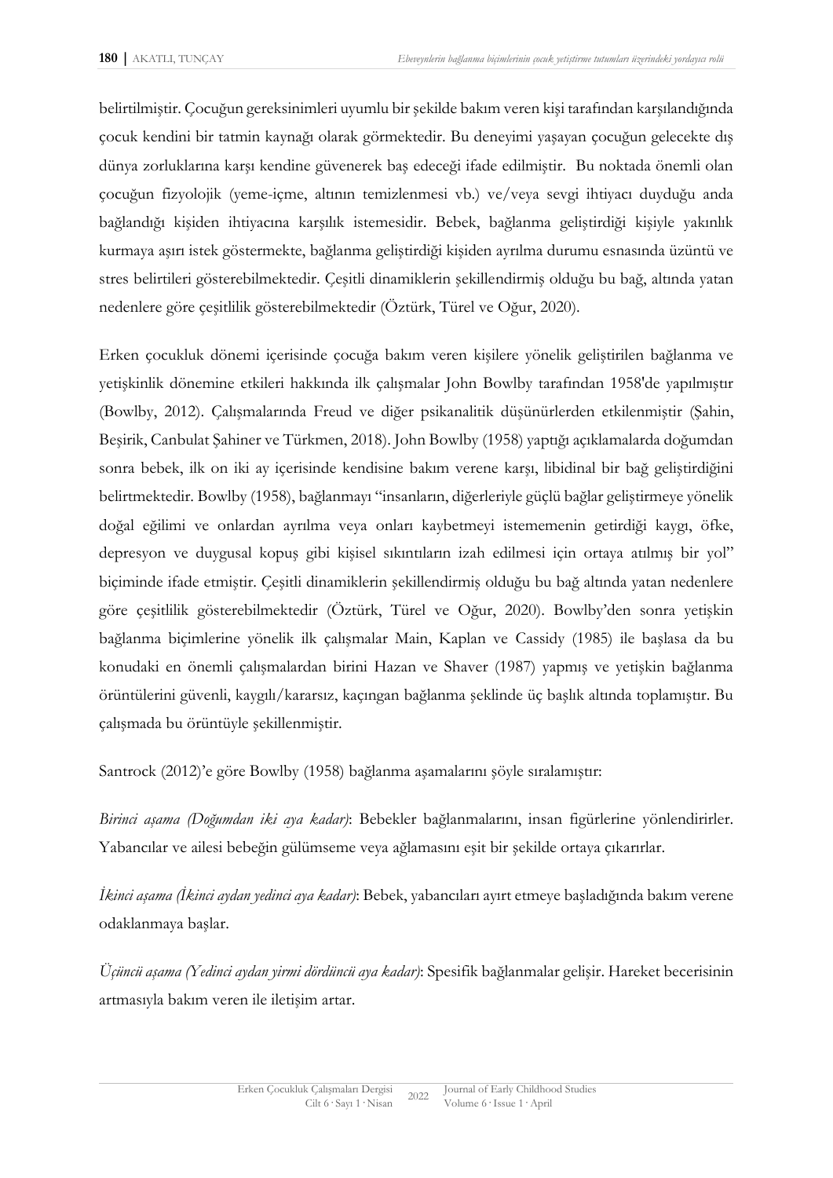belirtilmiştir. Çocuğun gereksinimleri uyumlu bir şekilde bakım veren kişi tarafından karşılandığında çocuk kendini bir tatmin kaynağı olarak görmektedir. Bu deneyimi yaşayan çocuğun gelecekte dış dünya zorluklarına karşı kendine güvenerek baş edeceği ifade edilmiştir. Bu noktada önemli olan çocuğun fizyolojik (yeme-içme, altının temizlenmesi vb.) ve/veya sevgi ihtiyacı duyduğu anda bağlandığı kişiden ihtiyacına karşılık istemesidir. Bebek, bağlanma geliştirdiği kişiyle yakınlık kurmaya aşırı istek göstermekte, bağlanma geliştirdiği kişiden ayrılma durumu esnasında üzüntü ve stres belirtileri gösterebilmektedir. Çeşitli dinamiklerin şekillendirmiş olduğu bu bağ, altında yatan nedenlere göre çeşitlilik gösterebilmektedir (Öztürk, Türel ve Oğur, 2020).

Erken çocukluk dönemi içerisinde çocuğa bakım veren kişilere yönelik geliştirilen bağlanma ve yetişkinlik dönemine etkileri hakkında ilk çalışmalar John Bowlby tarafından 1958'de yapılmıştır (Bowlby, 2012). Çalışmalarında Freud ve diğer psikanalitik düşünürlerden etkilenmiştir (Şahin, Beşirik, Canbulat Şahiner ve Türkmen, 2018). John Bowlby (1958) yaptığı açıklamalarda doğumdan sonra bebek, ilk on iki ay içerisinde kendisine bakım verene karşı, libidinal bir bağ geliştirdiğini belirtmektedir. Bowlby (1958), bağlanmayı "insanların, diğerleriyle güçlü bağlar geliştirmeye yönelik doğal eğilimi ve onlardan ayrılma veya onları kaybetmeyi istememenin getirdiği kaygı, öfke, depresyon ve duygusal kopuş gibi kişisel sıkıntıların izah edilmesi için ortaya atılmış bir yol" biçiminde ifade etmiştir. Çeşitli dinamiklerin şekillendirmiş olduğu bu bağ altında yatan nedenlere göre çeşitlilik gösterebilmektedir (Öztürk, Türel ve Oğur, 2020). Bowlby'den sonra yetişkin bağlanma biçimlerine yönelik ilk çalışmalar Main, Kaplan ve Cassidy (1985) ile başlasa da bu konudaki en önemli çalışmalardan birini Hazan ve Shaver (1987) yapmış ve yetişkin bağlanma örüntülerini güvenli, kaygılı/kararsız, kaçıngan bağlanma şeklinde üç başlık altında toplamıştır. Bu çalışmada bu örüntüyle şekillenmiştir.

Santrock (2012)'e göre Bowlby (1958) bağlanma aşamalarını şöyle sıralamıştır:

*Birinci aşama (Doğumdan iki aya kadar)*: Bebekler bağlanmalarını, insan figürlerine yönlendirirler. Yabancılar ve ailesi bebeğin gülümseme veya ağlamasını eşit bir şekilde ortaya çıkarırlar.

*İkinci aşama (İkinci aydan yedinci aya kadar)*: Bebek, yabancıları ayırt etmeye başladığında bakım verene odaklanmaya başlar.

*Üçüncü aşama (Yedinci aydan yirmi dördüncü aya kadar)*: Spesifik bağlanmalar gelişir. Hareket becerisinin artmasıyla bakım veren ile iletişim artar.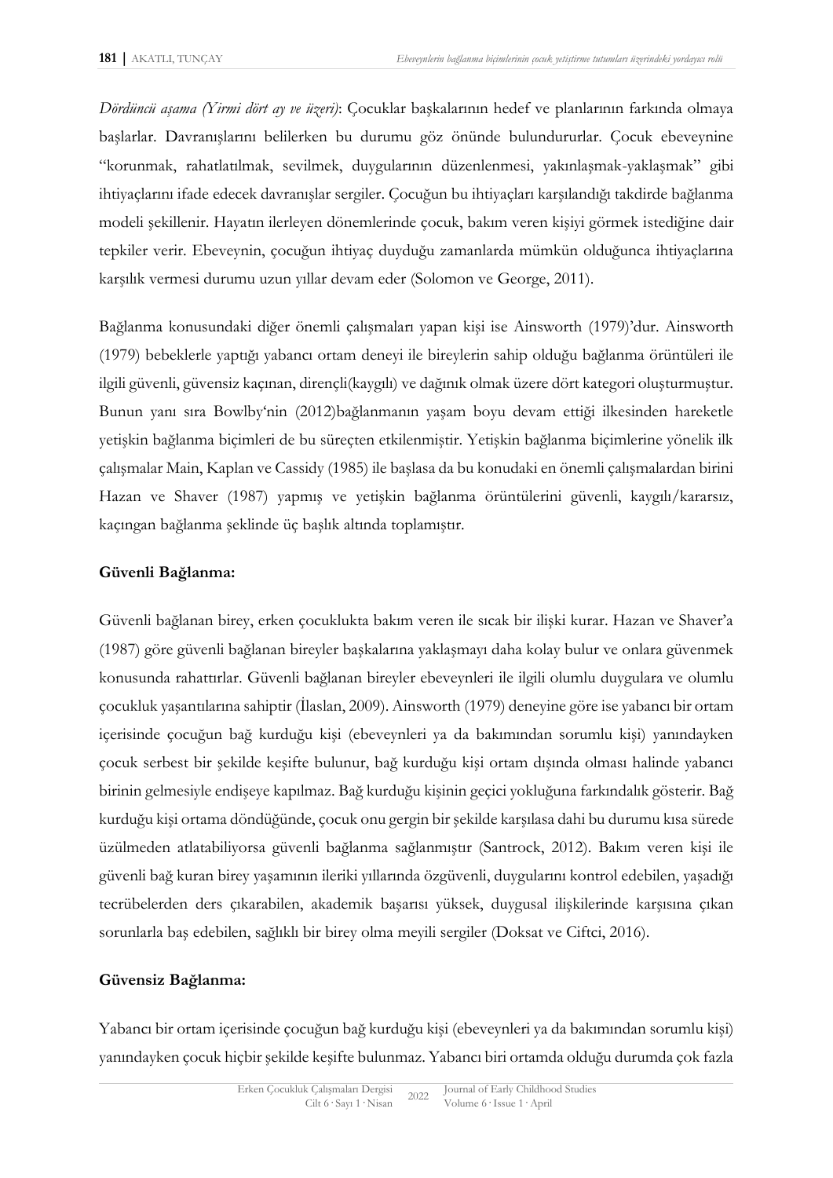*Dördüncü aşama (Yirmi dört ay ve üzeri)*: Çocuklar başkalarının hedef ve planlarının farkında olmaya başlarlar. Davranışlarını belilerken bu durumu göz önünde bulundururlar. Çocuk ebeveynine "korunmak, rahatlatılmak, sevilmek, duygularının düzenlenmesi, yakınlaşmak-yaklaşmak" gibi ihtiyaçlarını ifade edecek davranışlar sergiler. Çocuğun bu ihtiyaçları karşılandığı takdirde bağlanma modeli şekillenir. Hayatın ilerleyen dönemlerinde çocuk, bakım veren kişiyi görmek istediğine dair tepkiler verir. Ebeveynin, çocuğun ihtiyaç duyduğu zamanlarda mümkün olduğunca ihtiyaçlarına karşılık vermesi durumu uzun yıllar devam eder (Solomon ve George, 2011).

Bağlanma konusundaki diğer önemli çalışmaları yapan kişi ise Ainsworth (1979)'dur. Ainsworth (1979) bebeklerle yaptığı yabancı ortam deneyi ile bireylerin sahip olduğu bağlanma örüntüleri ile ilgili güvenli, güvensiz kaçınan, dirençli(kaygılı) ve dağınık olmak üzere dört kategori oluşturmuştur. Bunun yanı sıra Bowlby'nin (2012)bağlanmanın yaşam boyu devam ettiği ilkesinden hareketle yetişkin bağlanma biçimleri de bu süreçten etkilenmiştir. Yetişkin bağlanma biçimlerine yönelik ilk çalışmalar Main, Kaplan ve Cassidy (1985) ile başlasa da bu konudaki en önemli çalışmalardan birini Hazan ve Shaver (1987) yapmış ve yetişkin bağlanma örüntülerini güvenli, kaygılı/kararsız, kaçıngan bağlanma şeklinde üç başlık altında toplamıştır.

## **Güvenli Bağlanma:**

Güvenli bağlanan birey, erken çocuklukta bakım veren ile sıcak bir ilişki kurar. Hazan ve Shaver'a (1987) göre güvenli bağlanan bireyler başkalarına yaklaşmayı daha kolay bulur ve onlara güvenmek konusunda rahattırlar. Güvenli bağlanan bireyler ebeveynleri ile ilgili olumlu duygulara ve olumlu çocukluk yaşantılarına sahiptir (İlaslan, 2009). Ainsworth (1979) deneyine göre ise yabancı bir ortam içerisinde çocuğun bağ kurduğu kişi (ebeveynleri ya da bakımından sorumlu kişi) yanındayken çocuk serbest bir şekilde keşifte bulunur, bağ kurduğu kişi ortam dışında olması halinde yabancı birinin gelmesiyle endişeye kapılmaz. Bağ kurduğu kişinin geçici yokluğuna farkındalık gösterir. Bağ kurduğu kişi ortama döndüğünde, çocuk onu gergin bir şekilde karşılasa dahi bu durumu kısa sürede üzülmeden atlatabiliyorsa güvenli bağlanma sağlanmıştır (Santrock, 2012). Bakım veren kişi ile güvenli bağ kuran birey yaşamının ileriki yıllarında özgüvenli, duygularını kontrol edebilen, yaşadığı tecrübelerden ders çıkarabilen, akademik başarısı yüksek, duygusal ilişkilerinde karşısına çıkan sorunlarla baş edebilen, sağlıklı bir birey olma meyili sergiler (Doksat ve Ciftci, 2016).

## **Güvensiz Bağlanma:**

Yabancı bir ortam içerisinde çocuğun bağ kurduğu kişi (ebeveynleri ya da bakımından sorumlu kişi) yanındayken çocuk hiçbir şekilde keşifte bulunmaz. Yabancı biri ortamda olduğu durumda çok fazla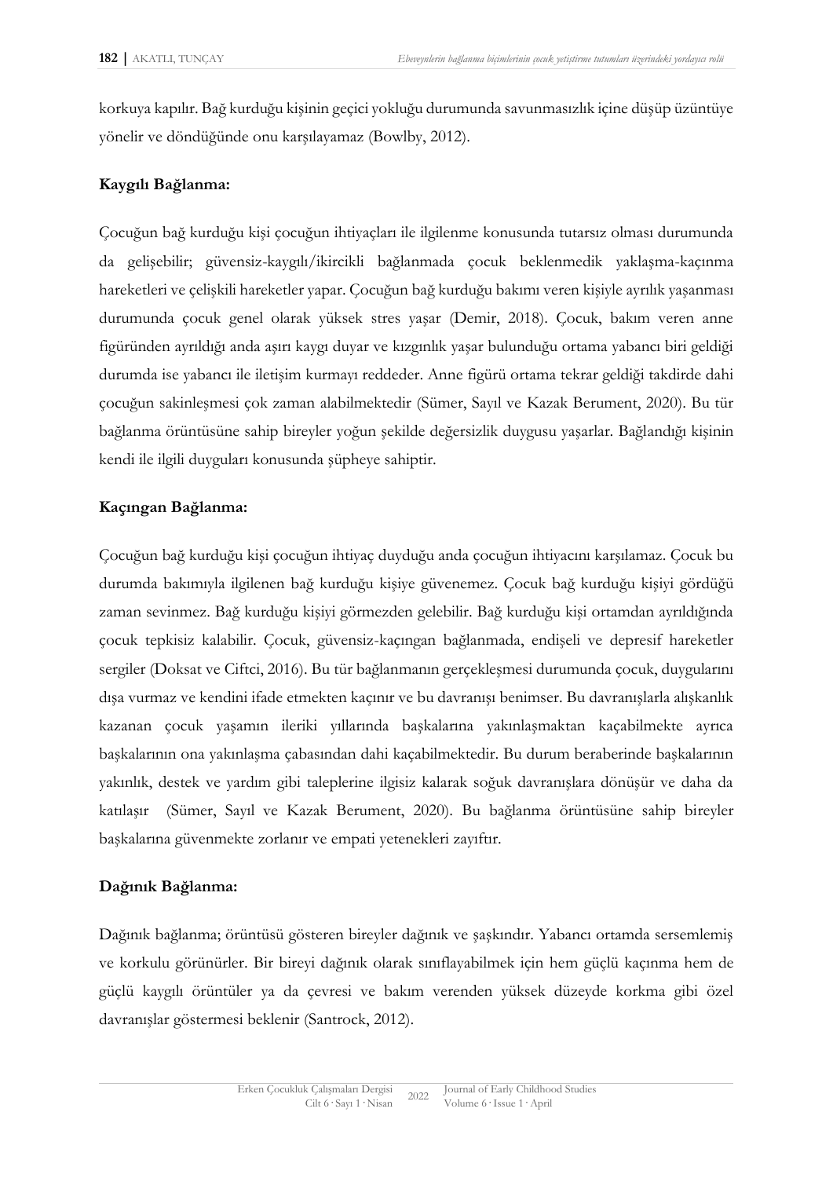korkuya kapılır. Bağ kurduğu kişinin geçici yokluğu durumunda savunmasızlık içine düşüp üzüntüye yönelir ve döndüğünde onu karşılayamaz (Bowlby, 2012).

## **Kaygılı Bağlanma:**

Çocuğun bağ kurduğu kişi çocuğun ihtiyaçları ile ilgilenme konusunda tutarsız olması durumunda da gelişebilir; güvensiz-kaygılı/ikircikli bağlanmada çocuk beklenmedik yaklaşma-kaçınma hareketleri ve çelişkili hareketler yapar. Çocuğun bağ kurduğu bakımı veren kişiyle ayrılık yaşanması durumunda çocuk genel olarak yüksek stres yaşar (Demir, 2018). Çocuk, bakım veren anne figüründen ayrıldığı anda aşırı kaygı duyar ve kızgınlık yaşar bulunduğu ortama yabancı biri geldiği durumda ise yabancı ile iletişim kurmayı reddeder. Anne figürü ortama tekrar geldiği takdirde dahi çocuğun sakinleşmesi çok zaman alabilmektedir (Sümer, Sayıl ve Kazak Berument, 2020). Bu tür bağlanma örüntüsüne sahip bireyler yoğun şekilde değersizlik duygusu yaşarlar. Bağlandığı kişinin kendi ile ilgili duyguları konusunda şüpheye sahiptir.

## **Kaçıngan Bağlanma:**

Çocuğun bağ kurduğu kişi çocuğun ihtiyaç duyduğu anda çocuğun ihtiyacını karşılamaz. Çocuk bu durumda bakımıyla ilgilenen bağ kurduğu kişiye güvenemez. Çocuk bağ kurduğu kişiyi gördüğü zaman sevinmez. Bağ kurduğu kişiyi görmezden gelebilir. Bağ kurduğu kişi ortamdan ayrıldığında çocuk tepkisiz kalabilir. Çocuk, güvensiz-kaçıngan bağlanmada, endişeli ve depresif hareketler sergiler (Doksat ve Ciftci, 2016). Bu tür bağlanmanın gerçekleşmesi durumunda çocuk, duygularını dışa vurmaz ve kendini ifade etmekten kaçınır ve bu davranışı benimser. Bu davranışlarla alışkanlık kazanan çocuk yaşamın ileriki yıllarında başkalarına yakınlaşmaktan kaçabilmekte ayrıca başkalarının ona yakınlaşma çabasından dahi kaçabilmektedir. Bu durum beraberinde başkalarının yakınlık, destek ve yardım gibi taleplerine ilgisiz kalarak soğuk davranışlara dönüşür ve daha da katılaşır (Sümer, Sayıl ve Kazak Berument, 2020). Bu bağlanma örüntüsüne sahip bireyler başkalarına güvenmekte zorlanır ve empati yetenekleri zayıftır.

#### **Dağınık Bağlanma:**

Dağınık bağlanma; örüntüsü gösteren bireyler dağınık ve şaşkındır. Yabancı ortamda sersemlemiş ve korkulu görünürler. Bir bireyi dağınık olarak sınıflayabilmek için hem güçlü kaçınma hem de güçlü kaygılı örüntüler ya da çevresi ve bakım verenden yüksek düzeyde korkma gibi özel davranışlar göstermesi beklenir (Santrock, 2012).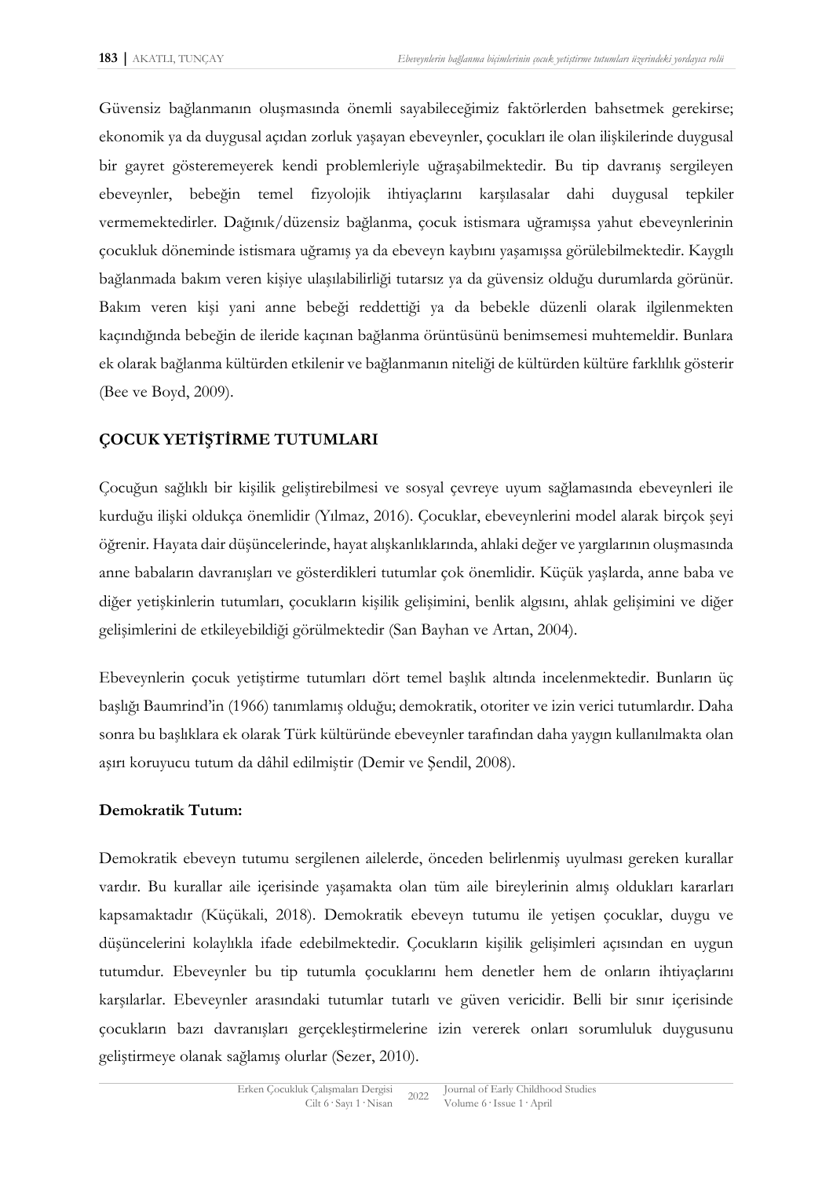Güvensiz bağlanmanın oluşmasında önemli sayabileceğimiz faktörlerden bahsetmek gerekirse; ekonomik ya da duygusal açıdan zorluk yaşayan ebeveynler, çocukları ile olan ilişkilerinde duygusal bir gayret gösteremeyerek kendi problemleriyle uğraşabilmektedir. Bu tip davranış sergileyen ebeveynler, bebeğin temel fizyolojik ihtiyaçlarını karşılasalar dahi duygusal tepkiler vermemektedirler. Dağınık/düzensiz bağlanma, çocuk istismara uğramışsa yahut ebeveynlerinin çocukluk döneminde istismara uğramış ya da ebeveyn kaybını yaşamışsa görülebilmektedir. Kaygılı bağlanmada bakım veren kişiye ulaşılabilirliği tutarsız ya da güvensiz olduğu durumlarda görünür. Bakım veren kişi yani anne bebeği reddettiği ya da bebekle düzenli olarak ilgilenmekten kaçındığında bebeğin de ileride kaçınan bağlanma örüntüsünü benimsemesi muhtemeldir. Bunlara ek olarak bağlanma kültürden etkilenir ve bağlanmanın niteliği de kültürden kültüre farklılık gösterir (Bee ve Boyd, 2009).

## **ÇOCUK YETİŞTİRME TUTUMLARI**

Çocuğun sağlıklı bir kişilik geliştirebilmesi ve sosyal çevreye uyum sağlamasında ebeveynleri ile kurduğu ilişki oldukça önemlidir (Yılmaz, 2016). Çocuklar, ebeveynlerini model alarak birçok şeyi öğrenir. Hayata dair düşüncelerinde, hayat alışkanlıklarında, ahlaki değer ve yargılarının oluşmasında anne babaların davranışları ve gösterdikleri tutumlar çok önemlidir. Küçük yaşlarda, anne baba ve diğer yetişkinlerin tutumları, çocukların kişilik gelişimini, benlik algısını, ahlak gelişimini ve diğer gelişimlerini de etkileyebildiği görülmektedir (San Bayhan ve Artan, 2004).

Ebeveynlerin çocuk yetiştirme tutumları dört temel başlık altında incelenmektedir. Bunların üç başlığı Baumrind'in (1966) tanımlamış olduğu; demokratik, otoriter ve izin verici tutumlardır. Daha sonra bu başlıklara ek olarak Türk kültüründe ebeveynler tarafından daha yaygın kullanılmakta olan aşırı koruyucu tutum da dâhil edilmiştir (Demir ve Şendil, 2008).

#### **Demokratik Tutum:**

Demokratik ebeveyn tutumu sergilenen ailelerde, önceden belirlenmiş uyulması gereken kurallar vardır. Bu kurallar aile içerisinde yaşamakta olan tüm aile bireylerinin almış oldukları kararları kapsamaktadır (Küçükali, 2018). Demokratik ebeveyn tutumu ile yetişen çocuklar, duygu ve düşüncelerini kolaylıkla ifade edebilmektedir. Çocukların kişilik gelişimleri açısından en uygun tutumdur. Ebeveynler bu tip tutumla çocuklarını hem denetler hem de onların ihtiyaçlarını karşılarlar. Ebeveynler arasındaki tutumlar tutarlı ve güven vericidir. Belli bir sınır içerisinde çocukların bazı davranışları gerçekleştirmelerine izin vererek onları sorumluluk duygusunu geliştirmeye olanak sağlamış olurlar (Sezer, 2010).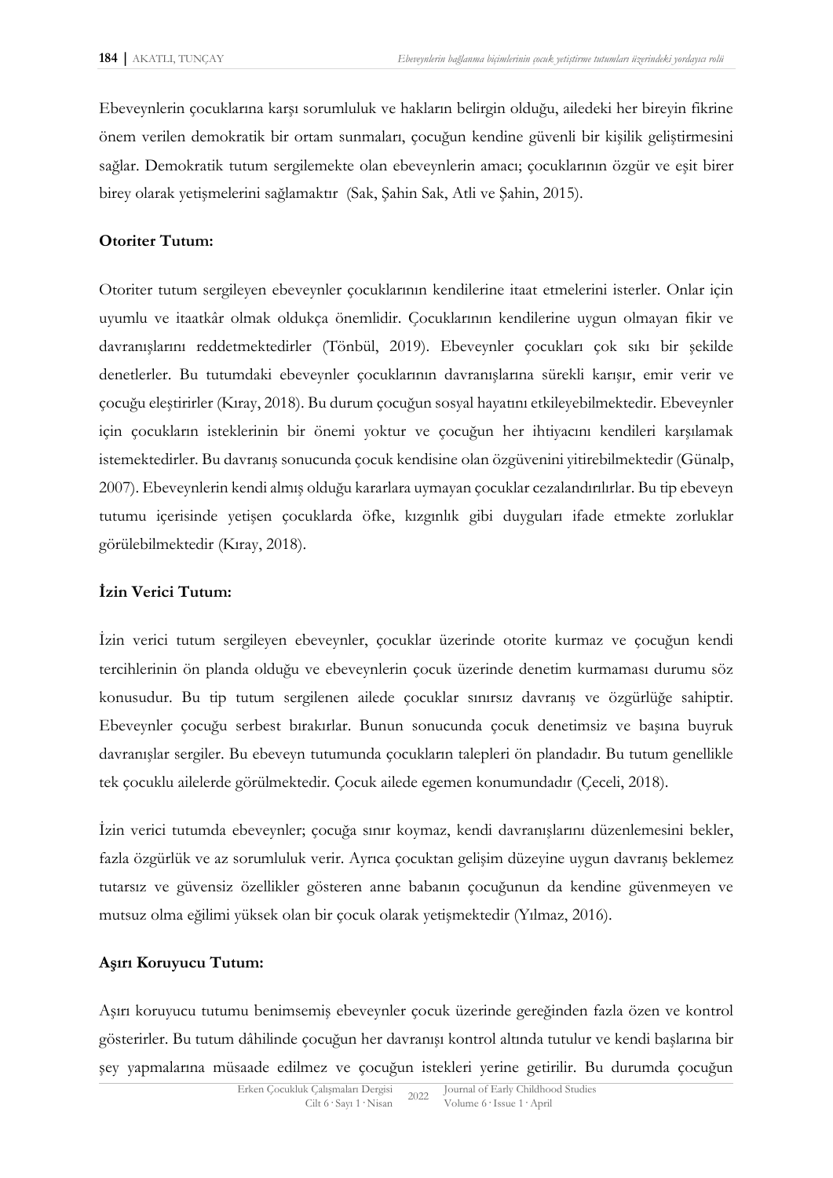Ebeveynlerin çocuklarına karşı sorumluluk ve hakların belirgin olduğu, ailedeki her bireyin fikrine önem verilen demokratik bir ortam sunmaları, çocuğun kendine güvenli bir kişilik geliştirmesini sağlar. Demokratik tutum sergilemekte olan ebeveynlerin amacı; çocuklarının özgür ve eşit birer birey olarak yetişmelerini sağlamaktır (Sak, Şahin Sak, Atli ve Şahin, 2015).

#### **Otoriter Tutum:**

Otoriter tutum sergileyen ebeveynler çocuklarının kendilerine itaat etmelerini isterler. Onlar için uyumlu ve itaatkâr olmak oldukça önemlidir. Çocuklarının kendilerine uygun olmayan fikir ve davranışlarını reddetmektedirler (Tönbül, 2019). Ebeveynler çocukları çok sıkı bir şekilde denetlerler. Bu tutumdaki ebeveynler çocuklarının davranışlarına sürekli karışır, emir verir ve çocuğu eleştirirler (Kıray, 2018). Bu durum çocuğun sosyal hayatını etkileyebilmektedir. Ebeveynler için çocukların isteklerinin bir önemi yoktur ve çocuğun her ihtiyacını kendileri karşılamak istemektedirler. Bu davranış sonucunda çocuk kendisine olan özgüvenini yitirebilmektedir (Günalp, 2007). Ebeveynlerin kendi almış olduğu kararlara uymayan çocuklar cezalandırılırlar. Bu tip ebeveyn tutumu içerisinde yetişen çocuklarda öfke, kızgınlık gibi duyguları ifade etmekte zorluklar görülebilmektedir (Kıray, 2018).

#### **İzin Verici Tutum:**

İzin verici tutum sergileyen ebeveynler, çocuklar üzerinde otorite kurmaz ve çocuğun kendi tercihlerinin ön planda olduğu ve ebeveynlerin çocuk üzerinde denetim kurmaması durumu söz konusudur. Bu tip tutum sergilenen ailede çocuklar sınırsız davranış ve özgürlüğe sahiptir. Ebeveynler çocuğu serbest bırakırlar. Bunun sonucunda çocuk denetimsiz ve başına buyruk davranışlar sergiler. Bu ebeveyn tutumunda çocukların talepleri ön plandadır. Bu tutum genellikle tek çocuklu ailelerde görülmektedir. Çocuk ailede egemen konumundadır (Çeceli, 2018).

İzin verici tutumda ebeveynler; çocuğa sınır koymaz, kendi davranışlarını düzenlemesini bekler, fazla özgürlük ve az sorumluluk verir. Ayrıca çocuktan gelişim düzeyine uygun davranış beklemez tutarsız ve güvensiz özellikler gösteren anne babanın çocuğunun da kendine güvenmeyen ve mutsuz olma eğilimi yüksek olan bir çocuk olarak yetişmektedir (Yılmaz, 2016).

#### **Aşırı Koruyucu Tutum:**

Aşırı koruyucu tutumu benimsemiş ebeveynler çocuk üzerinde gereğinden fazla özen ve kontrol gösterirler. Bu tutum dâhilinde çocuğun her davranışı kontrol altında tutulur ve kendi başlarına bir şey yapmalarına müsaade edilmez ve çocuğun istekleri yerine getirilir. Bu durumda çocuğun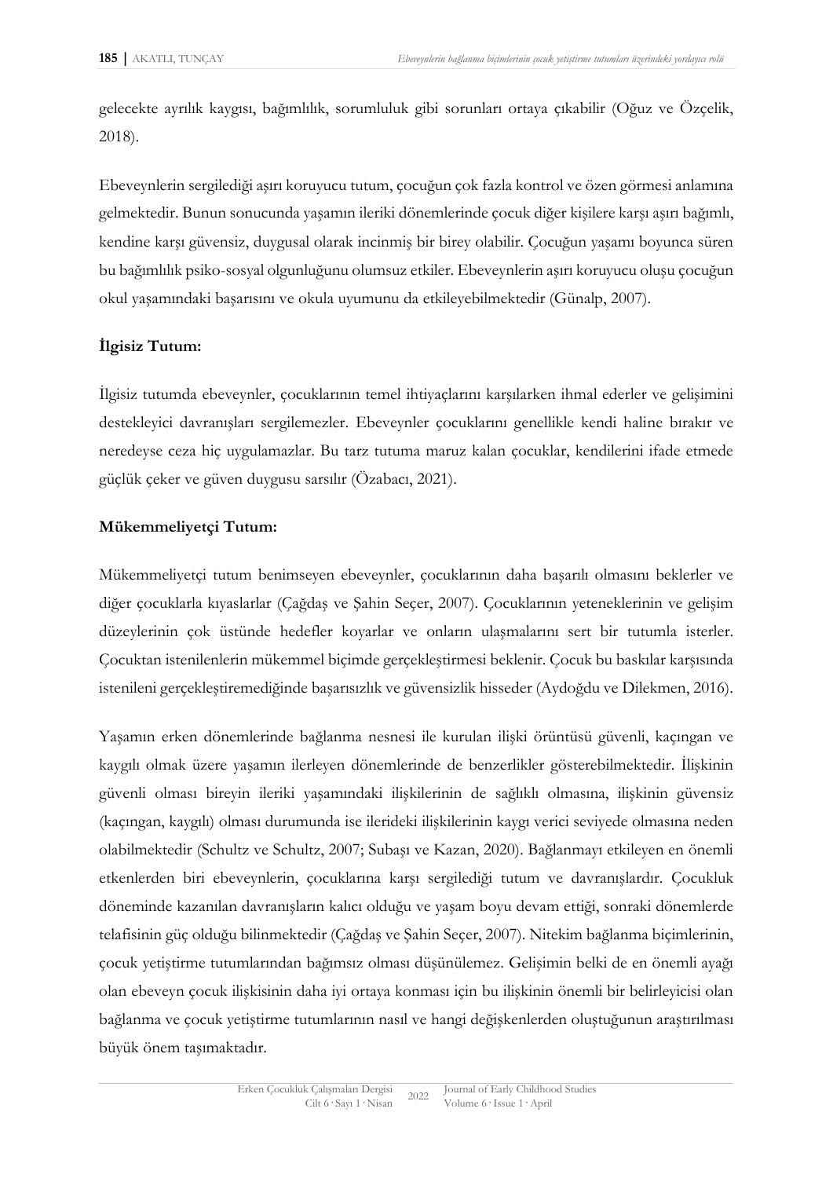gelecekte ayrılık kaygısı, bağımlılık, sorumluluk gibi sorunları ortaya çıkabilir (Oğuz ve Özçelik, 2018).

Ebeveynlerin sergilediği aşırı koruyucu tutum, çocuğun çok fazla kontrol ve özen görmesi anlamına gelmektedir. Bunun sonucunda yaşamın ileriki dönemlerinde çocuk diğer kişilere karşı aşırı bağımlı, kendine karşı güvensiz, duygusal olarak incinmiş bir birey olabilir. Çocuğun yaşamı boyunca süren bu bağımlılık psiko-sosyal olgunluğunu olumsuz etkiler. Ebeveynlerin aşırı koruyucu oluşu çocuğun okul yaşamındaki başarısını ve okula uyumunu da etkileyebilmektedir (Günalp, 2007).

## **İlgisiz Tutum:**

İlgisiz tutumda ebeveynler, çocuklarının temel ihtiyaçlarını karşılarken ihmal ederler ve gelişimini destekleyici davranışları sergilemezler. Ebeveynler çocuklarını genellikle kendi haline bırakır ve neredeyse ceza hiç uygulamazlar. Bu tarz tutuma maruz kalan çocuklar, kendilerini ifade etmede güçlük çeker ve güven duygusu sarsılır (Özabacı, 2021).

## **Mükemmeliyetçi Tutum:**

Mükemmeliyetçi tutum benimseyen ebeveynler, çocuklarının daha başarılı olmasını beklerler ve diğer çocuklarla kıyaslarlar (Çağdaş ve Şahin Seçer, 2007). Çocuklarının yeteneklerinin ve gelişim düzeylerinin çok üstünde hedefler koyarlar ve onların ulaşmalarını sert bir tutumla isterler. Çocuktan istenilenlerin mükemmel biçimde gerçekleştirmesi beklenir. Çocuk bu baskılar karşısında istenileni gerçekleştiremediğinde başarısızlık ve güvensizlik hisseder (Aydoğdu ve Dilekmen, 2016).

Yaşamın erken dönemlerinde bağlanma nesnesi ile kurulan ilişki örüntüsü güvenli, kaçıngan ve kaygılı olmak üzere yaşamın ilerleyen dönemlerinde de benzerlikler gösterebilmektedir. İlişkinin güvenli olması bireyin ileriki yaşamındaki ilişkilerinin de sağlıklı olmasına, ilişkinin güvensiz (kaçıngan, kaygılı) olması durumunda ise ilerideki ilişkilerinin kaygı verici seviyede olmasına neden olabilmektedir (Schultz ve Schultz, 2007; Subaşı ve Kazan, 2020). Bağlanmayı etkileyen en önemli etkenlerden biri ebeveynlerin, çocuklarına karşı sergilediği tutum ve davranışlardır. Çocukluk döneminde kazanılan davranışların kalıcı olduğu ve yaşam boyu devam ettiği, sonraki dönemlerde telafisinin güç olduğu bilinmektedir (Çağdaş ve Şahin Seçer, 2007). Nitekim bağlanma biçimlerinin, çocuk yetiştirme tutumlarından bağımsız olması düşünülemez. Gelişimin belki de en önemli ayağı olan ebeveyn çocuk ilişkisinin daha iyi ortaya konması için bu ilişkinin önemli bir belirleyicisi olan bağlanma ve çocuk yetiştirme tutumlarının nasıl ve hangi değişkenlerden oluştuğunun araştırılması büyük önem taşımaktadır.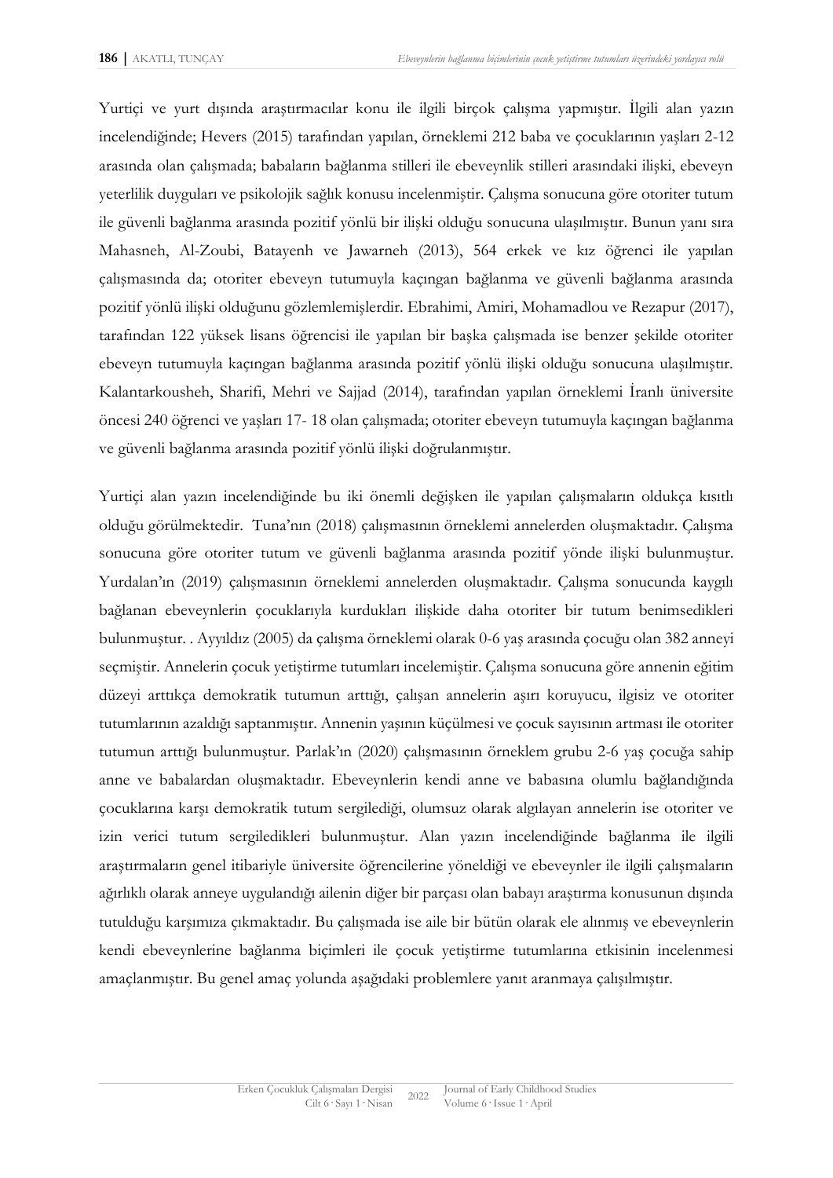Yurtiçi ve yurt dışında araştırmacılar konu ile ilgili birçok çalışma yapmıştır. İlgili alan yazın incelendiğinde; Hevers (2015) tarafından yapılan, örneklemi 212 baba ve çocuklarının yaşları 2-12 arasında olan çalışmada; babaların bağlanma stilleri ile ebeveynlik stilleri arasındaki ilişki, ebeveyn yeterlilik duyguları ve psikolojik sağlık konusu incelenmiştir. Çalışma sonucuna göre otoriter tutum ile güvenli bağlanma arasında pozitif yönlü bir ilişki olduğu sonucuna ulaşılmıştır. Bunun yanı sıra Mahasneh, Al-Zoubi, Batayenh ve Jawarneh (2013), 564 erkek ve kız öğrenci ile yapılan çalışmasında da; otoriter ebeveyn tutumuyla kaçıngan bağlanma ve güvenli bağlanma arasında pozitif yönlü ilişki olduğunu gözlemlemişlerdir. Ebrahimi, Amiri, Mohamadlou ve Rezapur (2017), tarafından 122 yüksek lisans öğrencisi ile yapılan bir başka çalışmada ise benzer şekilde otoriter ebeveyn tutumuyla kaçıngan bağlanma arasında pozitif yönlü ilişki olduğu sonucuna ulaşılmıştır. Kalantarkousheh, Sharifi, Mehri ve Sajjad (2014), tarafından yapılan örneklemi İranlı üniversite öncesi 240 öğrenci ve yaşları 17- 18 olan çalışmada; otoriter ebeveyn tutumuyla kaçıngan bağlanma ve güvenli bağlanma arasında pozitif yönlü ilişki doğrulanmıştır.

Yurtiçi alan yazın incelendiğinde bu iki önemli değişken ile yapılan çalışmaların oldukça kısıtlı olduğu görülmektedir. Tuna'nın (2018) çalışmasının örneklemi annelerden oluşmaktadır. Çalışma sonucuna göre otoriter tutum ve güvenli bağlanma arasında pozitif yönde ilişki bulunmuştur. Yurdalan'ın (2019) çalışmasının örneklemi annelerden oluşmaktadır. Çalışma sonucunda kaygılı bağlanan ebeveynlerin çocuklarıyla kurdukları ilişkide daha otoriter bir tutum benimsedikleri bulunmuştur. . Ayyıldız (2005) da çalışma örneklemi olarak 0-6 yaş arasında çocuğu olan 382 anneyi seçmiştir. Annelerin çocuk yetiştirme tutumları incelemiştir. Çalışma sonucuna göre annenin eğitim düzeyi arttıkça demokratik tutumun arttığı, çalışan annelerin aşırı koruyucu, ilgisiz ve otoriter tutumlarının azaldığı saptanmıştır. Annenin yaşının küçülmesi ve çocuk sayısının artması ile otoriter tutumun arttığı bulunmuştur. Parlak'ın (2020) çalışmasının örneklem grubu 2-6 yaş çocuğa sahip anne ve babalardan oluşmaktadır. Ebeveynlerin kendi anne ve babasına olumlu bağlandığında çocuklarına karşı demokratik tutum sergilediği, olumsuz olarak algılayan annelerin ise otoriter ve izin verici tutum sergiledikleri bulunmuştur. Alan yazın incelendiğinde bağlanma ile ilgili araştırmaların genel itibariyle üniversite öğrencilerine yöneldiği ve ebeveynler ile ilgili çalışmaların ağırlıklı olarak anneye uygulandığı ailenin diğer bir parçası olan babayı araştırma konusunun dışında tutulduğu karşımıza çıkmaktadır. Bu çalışmada ise aile bir bütün olarak ele alınmış ve ebeveynlerin kendi ebeveynlerine bağlanma biçimleri ile çocuk yetiştirme tutumlarına etkisinin incelenmesi amaçlanmıştır. Bu genel amaç yolunda aşağıdaki problemlere yanıt aranmaya çalışılmıştır.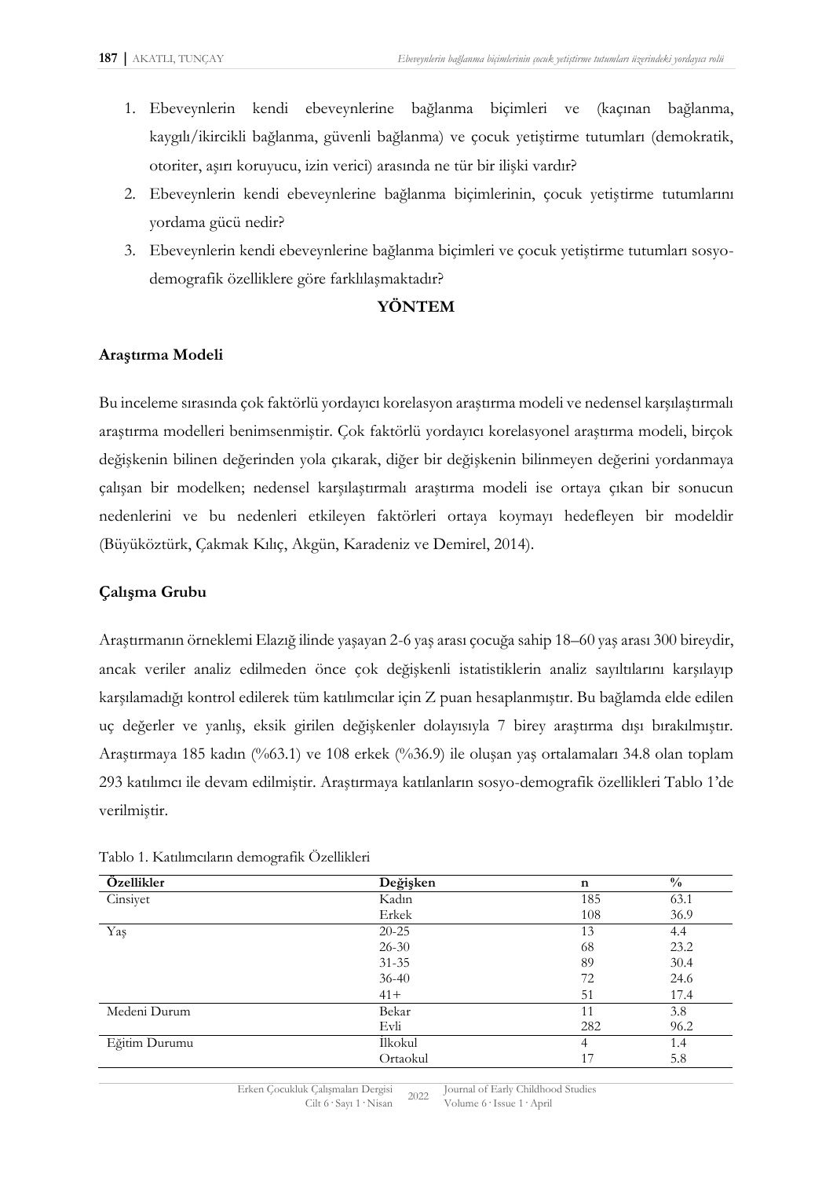- 1. Ebeveynlerin kendi ebeveynlerine bağlanma biçimleri ve (kaçınan bağlanma, kaygılı/ikircikli bağlanma, güvenli bağlanma) ve çocuk yetiştirme tutumları (demokratik, otoriter, aşırı koruyucu, izin verici) arasında ne tür bir ilişki vardır?
- 2. Ebeveynlerin kendi ebeveynlerine bağlanma biçimlerinin, çocuk yetiştirme tutumlarını yordama gücü nedir?
- 3. Ebeveynlerin kendi ebeveynlerine bağlanma biçimleri ve çocuk yetiştirme tutumları sosyodemografik özelliklere göre farklılaşmaktadır?

#### **YÖNTEM**

## **Araştırma Modeli**

Bu inceleme sırasında çok faktörlü yordayıcı korelasyon araştırma modeli ve nedensel karşılaştırmalı araştırma modelleri benimsenmiştir. Çok faktörlü yordayıcı korelasyonel araştırma modeli, birçok değişkenin bilinen değerinden yola çıkarak, diğer bir değişkenin bilinmeyen değerini yordanmaya çalışan bir modelken; nedensel karşılaştırmalı araştırma modeli ise ortaya çıkan bir sonucun nedenlerini ve bu nedenleri etkileyen faktörleri ortaya koymayı hedefleyen bir modeldir (Büyüköztürk, Çakmak Kılıç, Akgün, Karadeniz ve Demirel, 2014).

#### **Çalışma Grubu**

Araştırmanın örneklemi Elazığ ilinde yaşayan 2-6 yaş arası çocuğa sahip 18–60 yaş arası 300 bireydir, ancak veriler analiz edilmeden önce çok değişkenli istatistiklerin analiz sayıltılarını karşılayıp karşılamadığı kontrol edilerek tüm katılımcılar için Z puan hesaplanmıştır. Bu bağlamda elde edilen uç değerler ve yanlış, eksik girilen değişkenler dolayısıyla 7 birey araştırma dışı bırakılmıştır. Araştırmaya 185 kadın (%63.1) ve 108 erkek (%36.9) ile oluşan yaş ortalamaları 34.8 olan toplam 293 katılımcı ile devam edilmiştir. Araştırmaya katılanların sosyo-demografik özellikleri Tablo 1'de verilmiştir.

| Özellikler    | Değişken  | $\mathbf n$ | $\frac{0}{0}$ |
|---------------|-----------|-------------|---------------|
| Cinsiyet      | Kadın     | 185         | 63.1          |
|               | Erkek     | 108         | 36.9          |
| Yaş           | $20 - 25$ | 13          | 4.4           |
|               | $26 - 30$ | 68          | 23.2          |
|               | $31 - 35$ | 89          | 30.4          |
|               | $36 - 40$ | 72          | 24.6          |
|               | $41+$     | 51          | 17.4          |
| Medeni Durum  | Bekar     | 11          | 3.8           |
|               | Evli      | 282         | 96.2          |
| Eğitim Durumu | İlkokul   | 4           | 1.4           |
|               | Ortaokul  | 17          | 5.8           |

Tablo 1. Katılımcıların demografik Özellikleri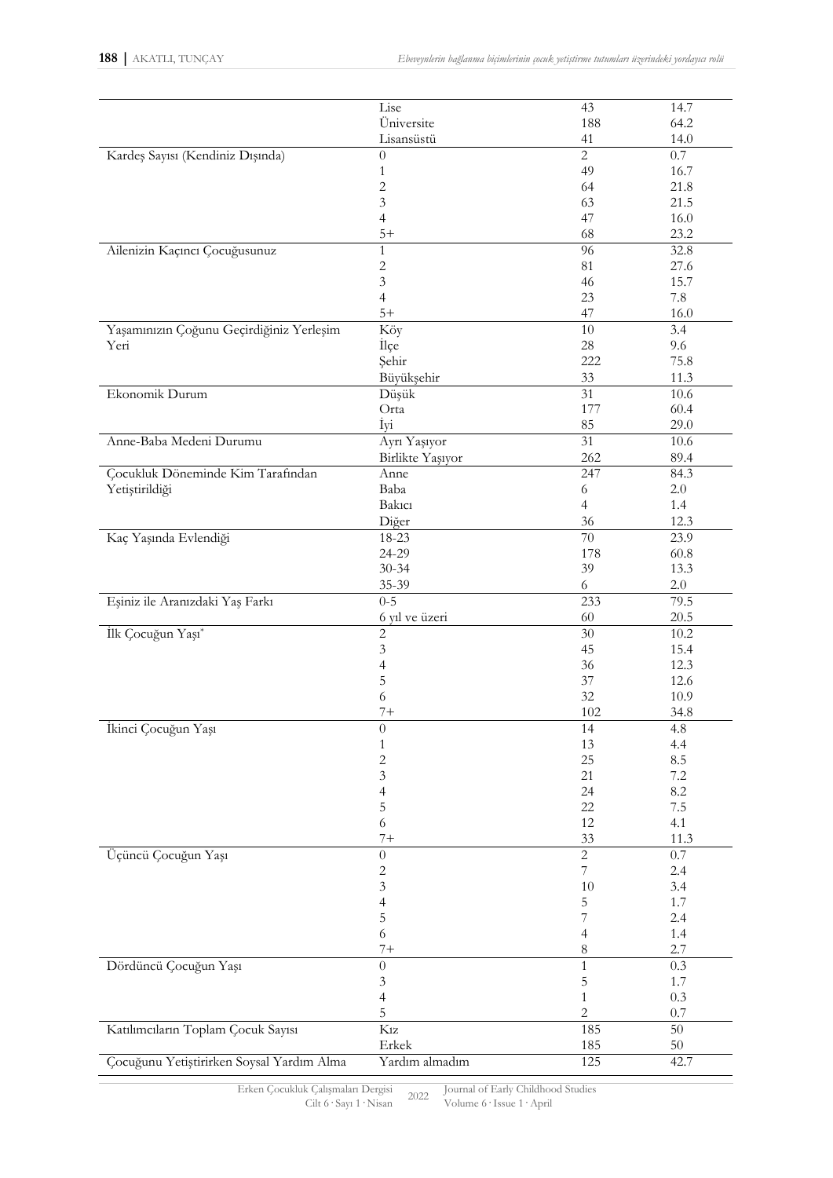|                                           | Lise                     | 43               | 14.7     |
|-------------------------------------------|--------------------------|------------------|----------|
|                                           | Üniversite               | 188              | 64.2     |
|                                           | Lisansüstü               | 41               | 14.0     |
| Kardeş Sayısı (Kendiniz Dışında)          | $\theta$                 | $\overline{2}$   | 0.7      |
|                                           |                          | 49               | 16.7     |
|                                           | $\mathbf{1}$             |                  |          |
|                                           | $\sqrt{2}$               | 64               | 21.8     |
|                                           | 3                        | 63               | 21.5     |
|                                           | $\overline{4}$           | 47               | 16.0     |
|                                           | $5+$                     | 68               | 23.2     |
| Ailenizin Kaçıncı Çocuğusunuz             | $\mathbf{1}$             | 96               | 32.8     |
|                                           | $\sqrt{2}$               | 81               | 27.6     |
|                                           | $\mathfrak{Z}$           | 46               | 15.7     |
|                                           | $\overline{4}$           | 23               | 7.8      |
|                                           | $5+$                     | 47               | 16.0     |
|                                           |                          |                  |          |
| Yaşamınızın Çoğunu Geçirdiğiniz Yerleşim  | Köy                      | 10               | 3.4      |
| Yeri                                      | İlçe                     | 28               | 9.6      |
|                                           | Şehir                    | 222              | 75.8     |
|                                           | Büyükşehir               | 33               | 11.3     |
| Ekonomik Durum                            | Düşük                    | 31               | 10.6     |
|                                           | Orta                     | 177              | 60.4     |
|                                           | İyi                      | 85               | 29.0     |
| Anne-Baba Medeni Durumu                   | Ayrı Yaşıyor             | $\overline{31}$  | 10.6     |
|                                           |                          | 262              |          |
|                                           | Birlikte Yaşıyor         |                  | 89.4     |
| Çocukluk Döneminde Kim Tarafından         | Anne                     | 247              | 84.3     |
| Yetiştirildiği                            | Baba                     | 6                | $2.0\,$  |
|                                           | <b>Bakici</b>            | $\overline{4}$   | 1.4      |
|                                           | Diğer                    | 36               | 12.3     |
| Kaç Yaşında Evlendiği                     | 18-23                    | 70               | 23.9     |
|                                           | 24-29                    | 178              | 60.8     |
|                                           | $30 - 34$                | 39               | 13.3     |
|                                           | 35-39                    | 6                | $2.0\,$  |
|                                           | $0 - 5$                  |                  |          |
| Eşiniz ile Aranızdaki Yaş Farkı           |                          | 233              | 79.5     |
|                                           | 6 yıl ve üzeri           | 60               | 20.5     |
| İlk Çocuğun Yaşı*                         | $\sqrt{2}$               | $30\,$           | $10.2\,$ |
|                                           | $\mathfrak z$            | 45               | 15.4     |
|                                           | 4                        | 36               | 12.3     |
|                                           | 5                        | $37\,$           | 12.6     |
|                                           | 6                        | 32               | 10.9     |
|                                           | $7 +$                    | 102              | 34.8     |
| Ikinci Çocuğun Yaşı                       | $\theta$                 | 14               | 4.8      |
|                                           | 1                        | 13               | 4.4      |
|                                           |                          | 25               |          |
|                                           | $\sqrt{2}$               |                  | 8.5      |
|                                           | 3                        | 21               | $7.2\,$  |
|                                           | $\overline{\mathcal{L}}$ | 24               | 8.2      |
|                                           | 5                        | 22               | $7.5\,$  |
|                                           | $\sqrt{6}$               | $12\,$           | 4.1      |
|                                           | $7 +$                    | $33\,$           | 11.3     |
| Üçüncü Çocuğun Yaşı                       | $\theta$                 | $\overline{2}$   | $0.7\,$  |
|                                           | $\sqrt{2}$               | $\boldsymbol{7}$ | 2.4      |
|                                           | $\mathfrak{Z}$           | 10               | 3.4      |
|                                           |                          | 5                | 1.7      |
|                                           | $\overline{\mathcal{L}}$ |                  |          |
|                                           | 5                        | 7                | 2.4      |
|                                           | $\sqrt{6}$               | $\overline{4}$   | $1.4\,$  |
|                                           | $7+$                     | $\,8\,$          | 2.7      |
| Dördüncü Çocuğun Yaşı                     | $\overline{0}$           | $\mathbf{1}$     | 0.3      |
|                                           | $\mathfrak{Z}$           | $\mathbf 5$      | 1.7      |
|                                           | $\overline{4}$           | $\mathbf{1}$     | $0.3\,$  |
|                                           | 5                        | $\overline{c}$   | $0.7\,$  |
|                                           |                          |                  |          |
| Katılımcıların Toplam Çocuk Sayısı        | $K_{1Z}$                 | 185              | $50\,$   |
|                                           | Erkek                    | 185              | $50\,$   |
| Çocuğunu Yetiştirirken Soysal Yardım Alma | Yardım almadım           | 125              | 42.7     |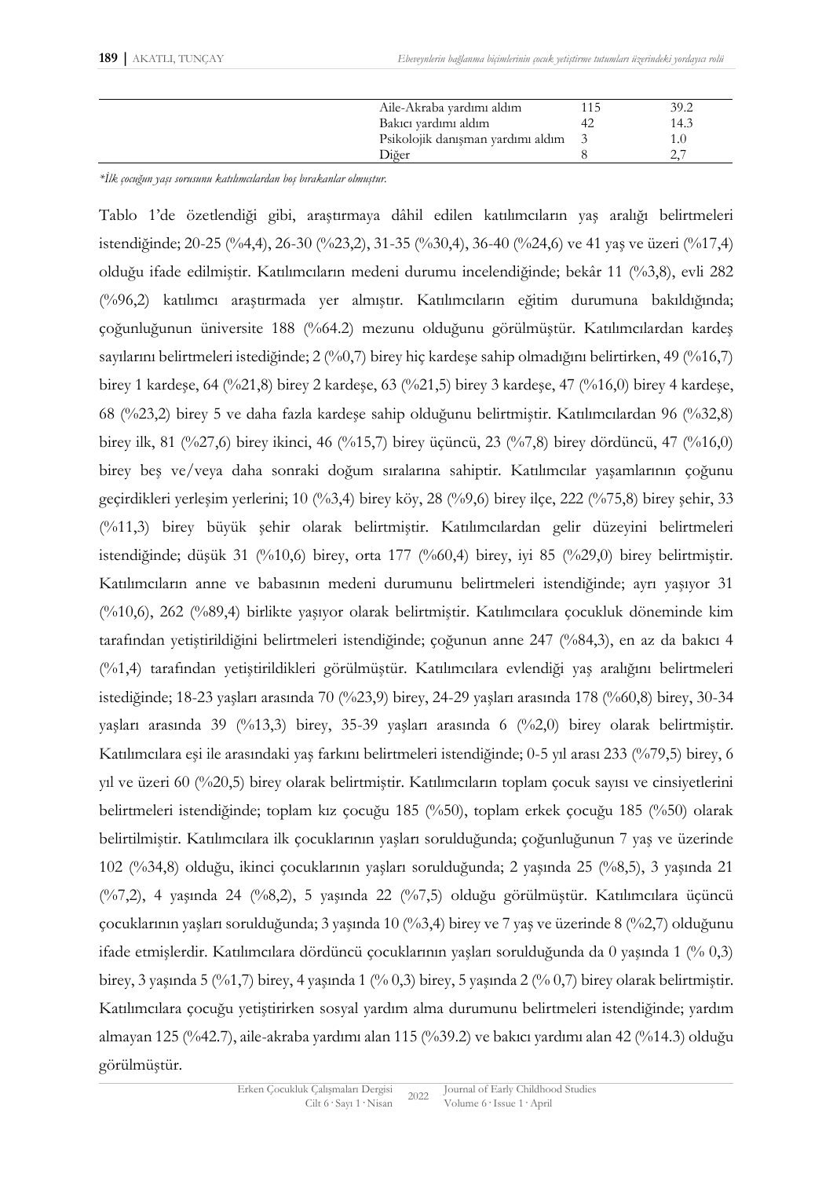| Aile-Akraba yardımı aldım         | 39.2 |
|-----------------------------------|------|
| Bakıcı yardımı aldım              | 14.3 |
| Psikolojik danışman yardımı aldım |      |
| Diğer                             |      |

*\*İlk çocuğun yaşı sorusunu katılımcılardan boş bırakanlar olmuştur.*

Tablo 1'de özetlendiği gibi, araştırmaya dâhil edilen katılımcıların yaş aralığı belirtmeleri istendiğinde; 20-25 (%4,4), 26-30 (%23,2), 31-35 (%30,4), 36-40 (%24,6) ve 41 yaş ve üzeri (%17,4) olduğu ifade edilmiştir. Katılımcıların medeni durumu incelendiğinde; bekâr 11 (%3,8), evli 282 (%96,2) katılımcı araştırmada yer almıştır. Katılımcıların eğitim durumuna bakıldığında; çoğunluğunun üniversite 188 (%64.2) mezunu olduğunu görülmüştür. Katılımcılardan kardeş sayılarını belirtmeleri istediğinde; 2 (%0,7) birey hiç kardeşe sahip olmadığını belirtirken, 49 (%16,7) birey 1 kardeşe, 64 (%21,8) birey 2 kardeşe, 63 (%21,5) birey 3 kardeşe, 47 (%16,0) birey 4 kardeşe, 68 (%23,2) birey 5 ve daha fazla kardeşe sahip olduğunu belirtmiştir. Katılımcılardan 96 (%32,8) birey ilk, 81 (%27,6) birey ikinci, 46 (%15,7) birey üçüncü, 23 (%7,8) birey dördüncü, 47 (%16,0) birey beş ve/veya daha sonraki doğum sıralarına sahiptir. Katılımcılar yaşamlarının çoğunu geçirdikleri yerleşim yerlerini; 10 (%3,4) birey köy, 28 (%9,6) birey ilçe, 222 (%75,8) birey şehir, 33 (%11,3) birey büyük şehir olarak belirtmiştir. Katılımcılardan gelir düzeyini belirtmeleri istendiğinde; düşük 31 (%10,6) birey, orta 177 (%60,4) birey, iyi 85 (%29,0) birey belirtmiştir. Katılımcıların anne ve babasının medeni durumunu belirtmeleri istendiğinde; ayrı yaşıyor 31 (%10,6), 262 (%89,4) birlikte yaşıyor olarak belirtmiştir. Katılımcılara çocukluk döneminde kim tarafından yetiştirildiğini belirtmeleri istendiğinde; çoğunun anne 247 (%84,3), en az da bakıcı 4 (%1,4) tarafından yetiştirildikleri görülmüştür. Katılımcılara evlendiği yaş aralığını belirtmeleri istediğinde; 18-23 yaşları arasında 70 (%23,9) birey, 24-29 yaşları arasında 178 (%60,8) birey, 30-34 yaşları arasında 39 (%13,3) birey, 35-39 yaşları arasında 6 (%2,0) birey olarak belirtmiştir. Katılımcılara eşi ile arasındaki yaş farkını belirtmeleri istendiğinde; 0-5 yıl arası 233 (%79,5) birey, 6 yıl ve üzeri 60 (%20,5) birey olarak belirtmiştir. Katılımcıların toplam çocuk sayısı ve cinsiyetlerini belirtmeleri istendiğinde; toplam kız çocuğu 185 (%50), toplam erkek çocuğu 185 (%50) olarak belirtilmiştir. Katılımcılara ilk çocuklarının yaşları sorulduğunda; çoğunluğunun 7 yaş ve üzerinde 102 (%34,8) olduğu, ikinci çocuklarının yaşları sorulduğunda; 2 yaşında 25 (%8,5), 3 yaşında 21 (%7,2), 4 yaşında 24 (%8,2), 5 yaşında 22 (%7,5) olduğu görülmüştür. Katılımcılara üçüncü çocuklarının yaşları sorulduğunda; 3 yaşında 10 (%3,4) birey ve 7 yaş ve üzerinde 8 (%2,7) olduğunu ifade etmişlerdir. Katılımcılara dördüncü çocuklarının yaşları sorulduğunda da 0 yaşında 1 (% 0,3) birey, 3 yaşında 5 (%1,7) birey, 4 yaşında 1 (% 0,3) birey, 5 yaşında 2 (% 0,7) birey olarak belirtmiştir. Katılımcılara çocuğu yetiştirirken sosyal yardım alma durumunu belirtmeleri istendiğinde; yardım almayan 125 (%42.7), aile-akraba yardımı alan 115 (%39.2) ve bakıcı yardımı alan 42 (%14.3) olduğu görülmüştür.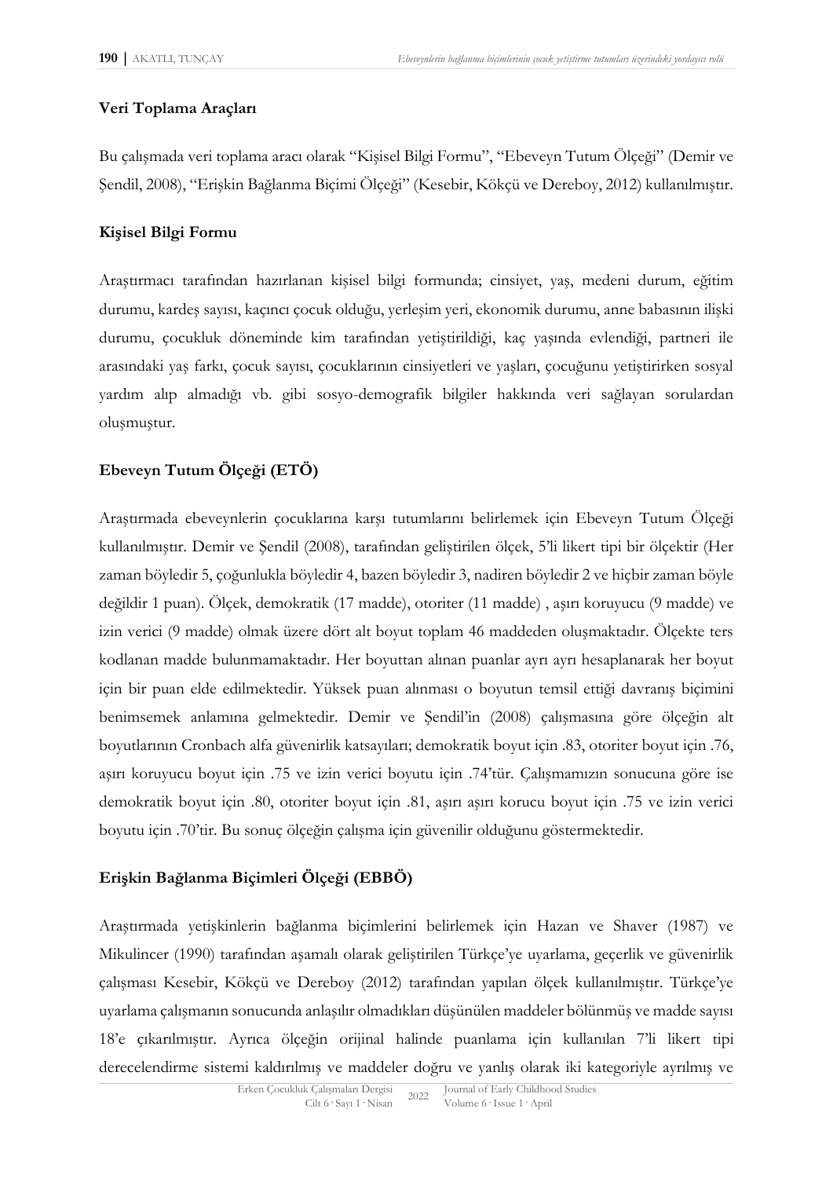#### **Veri Toplama Araçları**

Bu çalışmada veri toplama aracı olarak "Kişisel Bilgi Formu", "Ebeveyn Tutum Ölçeği" (Demir ve Şendil, 2008), "Erişkin Bağlanma Biçimi Ölçeği" (Kesebir, Kökçü ve Dereboy, 2012) kullanılmıştır.

#### **Kişisel Bilgi Formu**

Araştırmacı tarafından hazırlanan kişisel bilgi formunda; cinsiyet, yaş, medeni durum, eğitim durumu, kardeş sayısı, kaçıncı çocuk olduğu, yerleşim yeri, ekonomik durumu, anne babasının ilişki durumu, çocukluk döneminde kim tarafından yetiştirildiği, kaç yaşında evlendiği, partneri ile arasındaki yaş farkı, çocuk sayısı, çocuklarının cinsiyetleri ve yaşları, çocuğunu yetiştirirken sosyal yardım alıp almadığı vb. gibi sosyo-demografik bilgiler hakkında veri sağlayan sorulardan oluşmuştur.

## **Ebeveyn Tutum Ölçeği (ETÖ)**

Araştırmada ebeveynlerin çocuklarına karşı tutumlarını belirlemek için Ebeveyn Tutum Ölçeği kullanılmıştır. Demir ve Şendil (2008), tarafından geliştirilen ölçek, 5'li likert tipi bir ölçektir (Her zaman böyledir 5, çoğunlukla böyledir 4, bazen böyledir 3, nadiren böyledir 2 ve hiçbir zaman böyle değildir 1 puan). Ölçek, demokratik (17 madde), otoriter (11 madde) , aşırı koruyucu (9 madde) ve izin verici (9 madde) olmak üzere dört alt boyut toplam 46 maddeden oluşmaktadır. Ölçekte ters kodlanan madde bulunmamaktadır. Her boyuttan alınan puanlar ayrı ayrı hesaplanarak her boyut için bir puan elde edilmektedir. Yüksek puan alınması o boyutun temsil ettiği davranış biçimini benimsemek anlamına gelmektedir. Demir ve Şendil'in (2008) çalışmasına göre ölçeğin alt boyutlarının Cronbach alfa güvenirlik katsayıları; demokratik boyut için .83, otoriter boyut için .76, aşırı koruyucu boyut için .75 ve izin verici boyutu için .74'tür. Çalışmamızın sonucuna göre ise demokratik boyut için .80, otoriter boyut için .81, aşırı aşırı korucu boyut için .75 ve izin verici boyutu için .70'tir. Bu sonuç ölçeğin çalışma için güvenilir olduğunu göstermektedir.

## **Erişkin Bağlanma Biçimleri Ölçeği (EBBÖ)**

Araştırmada yetişkinlerin bağlanma biçimlerini belirlemek için Hazan ve Shaver (1987) ve Mikulincer (1990) tarafından aşamalı olarak geliştirilen Türkçe'ye uyarlama, geçerlik ve güvenirlik çalışması Kesebir, Kökçü ve Dereboy (2012) tarafından yapılan ölçek kullanılmıştır. Türkçe'ye uyarlama çalışmanın sonucunda anlaşılır olmadıkları düşünülen maddeler bölünmüş ve madde sayısı 18'e çıkarılmıştır. Ayrıca ölçeğin orijinal halinde puanlama için kullanılan 7'li likert tipi derecelendirme sistemi kaldırılmış ve maddeler doğru ve yanlış olarak iki kategoriyle ayrılmış ve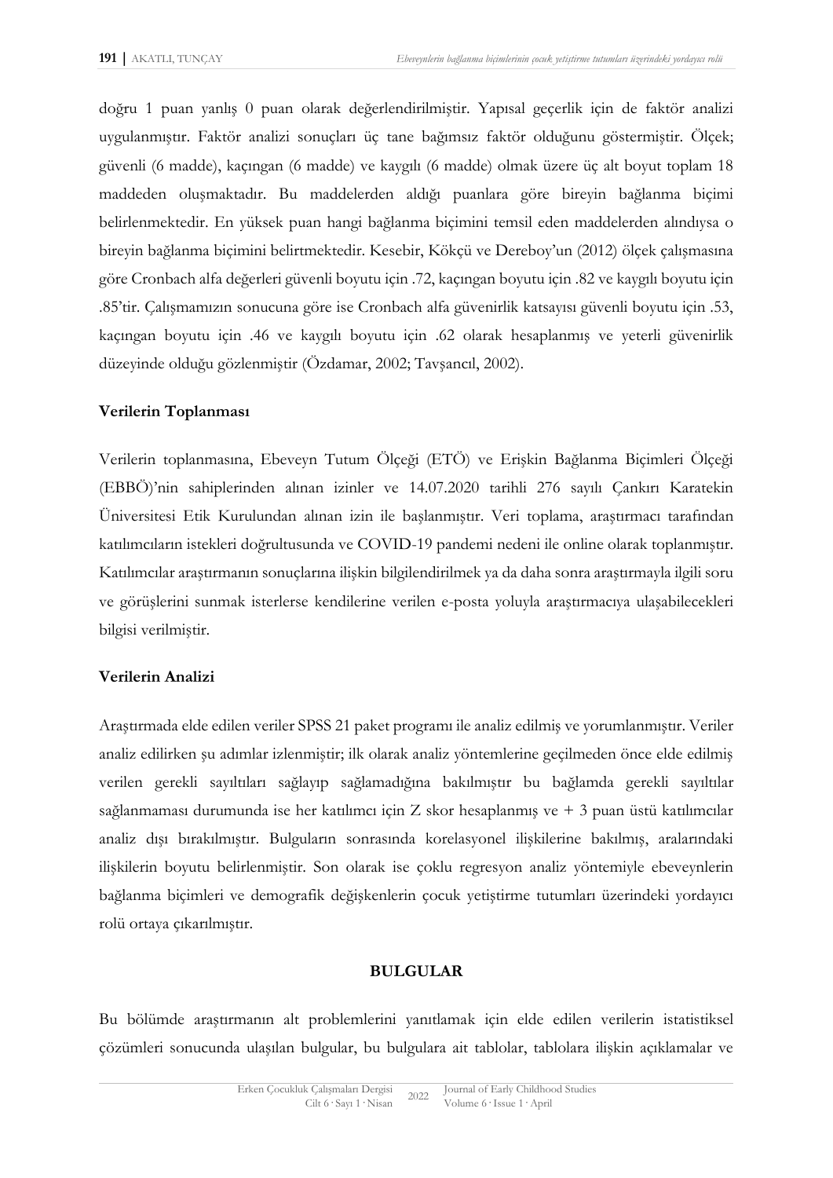doğru 1 puan yanlış 0 puan olarak değerlendirilmiştir. Yapısal geçerlik için de faktör analizi uygulanmıştır. Faktör analizi sonuçları üç tane bağımsız faktör olduğunu göstermiştir. Ölçek; güvenli (6 madde), kaçıngan (6 madde) ve kaygılı (6 madde) olmak üzere üç alt boyut toplam 18 maddeden oluşmaktadır. Bu maddelerden aldığı puanlara göre bireyin bağlanma biçimi belirlenmektedir. En yüksek puan hangi bağlanma biçimini temsil eden maddelerden alındıysa o bireyin bağlanma biçimini belirtmektedir. Kesebir, Kökçü ve Dereboy'un (2012) ölçek çalışmasına göre Cronbach alfa değerleri güvenli boyutu için .72, kaçıngan boyutu için .82 ve kaygılı boyutu için .85'tir. Çalışmamızın sonucuna göre ise Cronbach alfa güvenirlik katsayısı güvenli boyutu için .53, kaçıngan boyutu için .46 ve kaygılı boyutu için .62 olarak hesaplanmış ve yeterli güvenirlik düzeyinde olduğu gözlenmiştir (Özdamar, 2002; Tavşancıl, 2002).

#### **Verilerin Toplanması**

Verilerin toplanmasına, Ebeveyn Tutum Ölçeği (ETÖ) ve Erişkin Bağlanma Biçimleri Ölçeği (EBBÖ)'nin sahiplerinden alınan izinler ve 14.07.2020 tarihli 276 sayılı Çankırı Karatekin Üniversitesi Etik Kurulundan alınan izin ile başlanmıştır. Veri toplama, araştırmacı tarafından katılımcıların istekleri doğrultusunda ve COVID-19 pandemi nedeni ile online olarak toplanmıştır. Katılımcılar araştırmanın sonuçlarına ilişkin bilgilendirilmek ya da daha sonra araştırmayla ilgili soru ve görüşlerini sunmak isterlerse kendilerine verilen e-posta yoluyla araştırmacıya ulaşabilecekleri bilgisi verilmiştir.

#### **Verilerin Analizi**

Araştırmada elde edilen veriler SPSS 21 paket programı ile analiz edilmiş ve yorumlanmıştır. Veriler analiz edilirken şu adımlar izlenmiştir; ilk olarak analiz yöntemlerine geçilmeden önce elde edilmiş verilen gerekli sayıltıları sağlayıp sağlamadığına bakılmıştır bu bağlamda gerekli sayıltılar sağlanmaması durumunda ise her katılımcı için Z skor hesaplanmış ve  $+3$  puan üstü katılımcılar analiz dışı bırakılmıştır. Bulguların sonrasında korelasyonel ilişkilerine bakılmış, aralarındaki ilişkilerin boyutu belirlenmiştir. Son olarak ise çoklu regresyon analiz yöntemiyle ebeveynlerin bağlanma biçimleri ve demografik değişkenlerin çocuk yetiştirme tutumları üzerindeki yordayıcı rolü ortaya çıkarılmıştır.

#### **BULGULAR**

Bu bölümde araştırmanın alt problemlerini yanıtlamak için elde edilen verilerin istatistiksel çözümleri sonucunda ulaşılan bulgular, bu bulgulara ait tablolar, tablolara ilişkin açıklamalar ve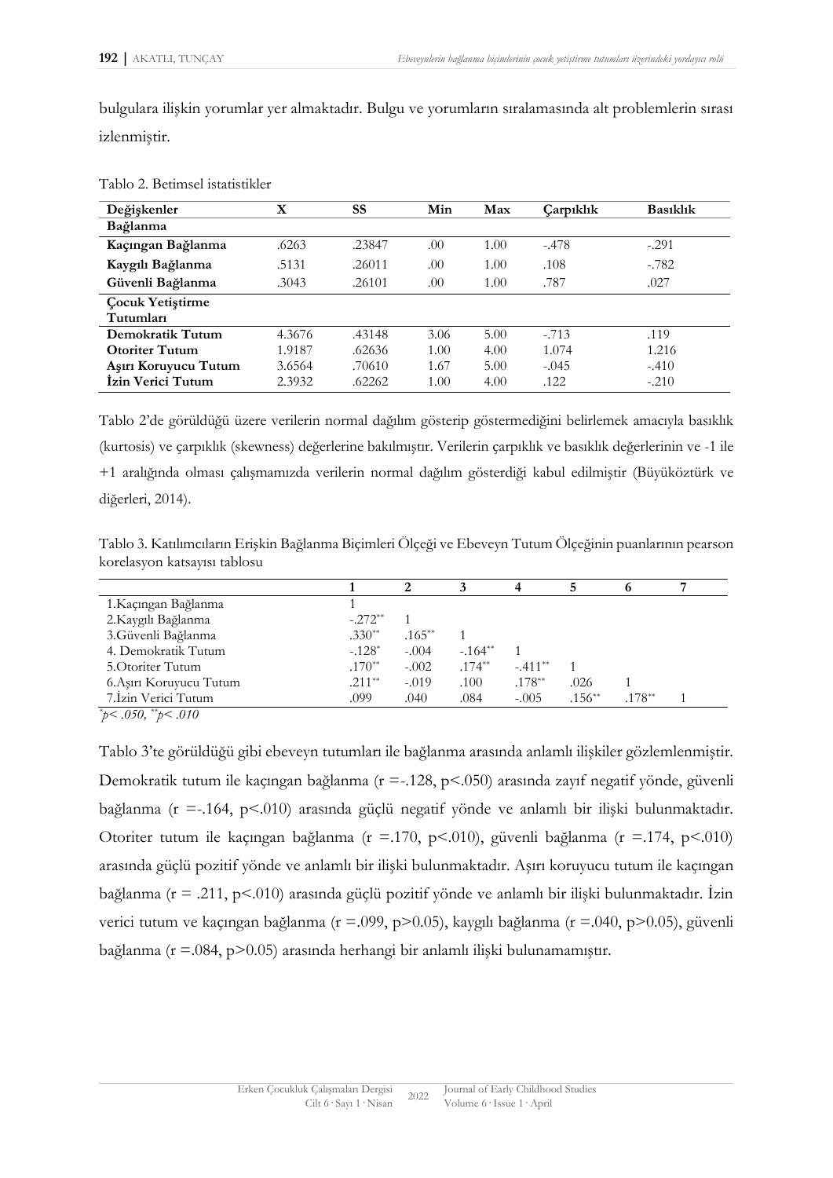bulgulara ilişkin yorumlar yer almaktadır. Bulgu ve yorumların sıralamasında alt problemlerin sırası izlenmiştir.

| Değişkenler             | X      | SS     | Min  | Max  | Carpiklik | <b>Basiklik</b> |
|-------------------------|--------|--------|------|------|-----------|-----------------|
| Bağlanma                |        |        |      |      |           |                 |
| Kaçıngan Bağlanma       | .6263  | .23847 | .00  | 1.00 | $-.478$   | $-.291$         |
| Kaygılı Bağlanma        | .5131  | .26011 | .00  | 1.00 | .108      | $-.782$         |
| Güvenli Bağlanma        | .3043  | .26101 | .00  | 1.00 | .787      | .027            |
| <b>Cocuk Yetiştirme</b> |        |        |      |      |           |                 |
| Tutumları               |        |        |      |      |           |                 |
| Demokratik Tutum        | 4.3676 | .43148 | 3.06 | 5.00 | $-.713$   | .119            |
| <b>Otoriter Tutum</b>   | 1.9187 | .62636 | 1.00 | 4.00 | 1.074     | 1.216           |
| Aşırı Koruyucu Tutum    | 3.6564 | .70610 | 1.67 | 5.00 | $-.045$   | $-.410$         |
| İzin Verici Tutum       | 2.3932 | .62262 | 1.00 | 4.00 | .122      | $-.210$         |

Tablo 2. Betimsel istatistikler

Tablo 2'de görüldüğü üzere verilerin normal dağılım gösterip göstermediğini belirlemek amacıyla basıklık (kurtosis) ve çarpıklık (skewness) değerlerine bakılmıştır. Verilerin çarpıklık ve basıklık değerlerinin ve -1 ile +1 aralığında olması çalışmamızda verilerin normal dağılım gösterdiği kabul edilmiştir (Büyüköztürk ve diğerleri, 2014).

Tablo 3. Katılımcıların Erişkin Bağlanma Biçimleri Ölçeği ve Ebeveyn Tutum Ölçeğinin puanlarının pearson korelasyon katsayısı tablosu

| 1.Kaçıngan Bağlanma     |           |           |          |           |           |           |  |
|-------------------------|-----------|-----------|----------|-----------|-----------|-----------|--|
| 2.Kaygılı Bağlanma      | $-.272**$ |           |          |           |           |           |  |
| 3.Güvenli Bağlanma      | $.330**$  | $.165***$ |          |           |           |           |  |
| 4. Demokratik Tutum     | $-.128*$  | $-.004$   | $-164**$ |           |           |           |  |
| 5. Otoriter Tutum       | $.170**$  | $-.002$   | $.174**$ | $-.411**$ |           |           |  |
| 6. Aşırı Koruyucu Tutum | $.211**$  | $-.019$   | .100     | $.178**$  | .026      |           |  |
| 7. Izin Verici Tutum    | .099      | .040      | .084     | $-.005$   | $.156***$ | $.178***$ |  |

*\* p< .050, \*\*p< .010*

Tablo 3'te görüldüğü gibi ebeveyn tutumları ile bağlanma arasında anlamlı ilişkiler gözlemlenmiştir. Demokratik tutum ile kaçıngan bağlanma (r =-.128, p<.050) arasında zayıf negatif yönde, güvenli bağlanma (r =-.164, p<.010) arasında güçlü negatif yönde ve anlamlı bir ilişki bulunmaktadır. Otoriter tutum ile kaçıngan bağlanma (r =.170, p<.010), güvenli bağlanma (r =.174, p<.010) arasında güçlü pozitif yönde ve anlamlı bir ilişki bulunmaktadır. Aşırı koruyucu tutum ile kaçıngan bağlanma (r = .211, p<.010) arasında güçlü pozitif yönde ve anlamlı bir ilişki bulunmaktadır. İzin verici tutum ve kaçıngan bağlanma (r =.099, p>0.05), kaygılı bağlanma (r =.040, p>0.05), güvenli bağlanma (r =.084, p>0.05) arasında herhangi bir anlamlı ilişki bulunamamıştır.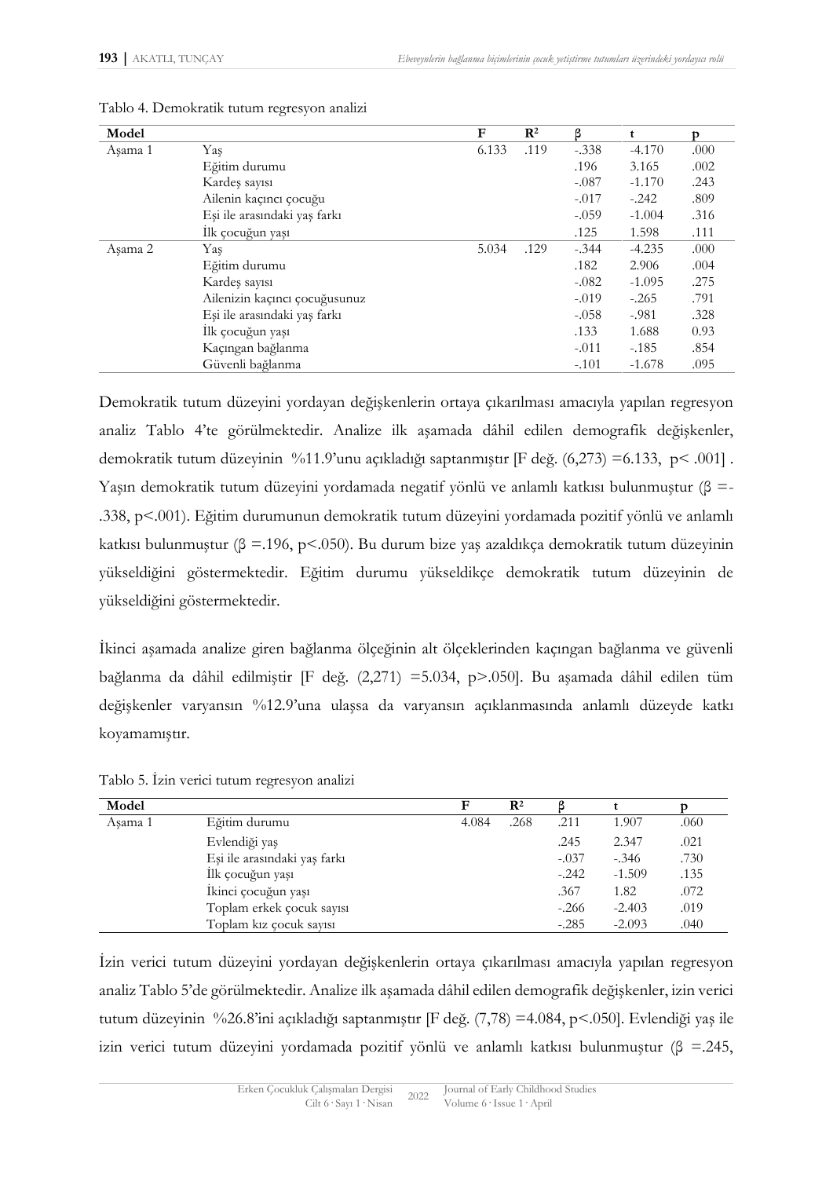| Model   |                               | F     | $\mathbf{R}^2$ | β       | t        | p    |
|---------|-------------------------------|-------|----------------|---------|----------|------|
| Asama 1 | Yaş                           | 6.133 | .119           | $-.338$ | $-4.170$ | .000 |
|         | Eğitim durumu                 |       |                | .196    | 3.165    | .002 |
|         | Kardeş sayısı                 |       |                | $-.087$ | $-1.170$ | .243 |
|         | Ailenin kaçıncı çocuğu        |       |                | $-.017$ | $-.242$  | .809 |
|         | Eşi ile arasındaki yaş farkı  |       |                | $-.059$ | $-1.004$ | .316 |
|         | İlk çocuğun yaşı              |       |                | .125    | 1.598    | .111 |
| Asama 2 | Yas                           | 5.034 | .129           | $-.344$ | $-4.235$ | .000 |
|         | Eğitim durumu                 |       |                | .182    | 2.906    | .004 |
|         | Kardeş sayısı                 |       |                | $-.082$ | $-1.095$ | .275 |
|         | Ailenizin kaçıncı çocuğusunuz |       |                | $-.019$ | $-.265$  | .791 |
|         | Eşi ile arasındaki yaş farkı  |       |                | $-.058$ | $-.981$  | .328 |
|         | İlk çocuğun yaşı              |       |                | .133    | 1.688    | 0.93 |
|         | Kaçıngan bağlanma             |       |                | $-.011$ | $-.185$  | .854 |
|         | Güvenli bağlanma              |       |                | $-.101$ | $-1.678$ | .095 |

Tablo 4. Demokratik tutum regresyon analizi

Demokratik tutum düzeyini yordayan değişkenlerin ortaya çıkarılması amacıyla yapılan regresyon analiz Tablo 4'te görülmektedir. Analize ilk aşamada dâhil edilen demografik değişkenler, demokratik tutum düzeyinin %11.9'unu açıkladığı saptanmıştır [F değ. (6,273) =6.133, p< .001] . Yaşın demokratik tutum düzeyini yordamada negatif yönlü ve anlamlı katkısı bulunmuştur (β =- .338, p<.001). Eğitim durumunun demokratik tutum düzeyini yordamada pozitif yönlü ve anlamlı katkısı bulunmuştur ( $\beta = 196$ , p<.050). Bu durum bize yaş azaldıkça demokratik tutum düzeyinin yükseldiğini göstermektedir. Eğitim durumu yükseldikçe demokratik tutum düzeyinin de yükseldiğini göstermektedir.

İkinci aşamada analize giren bağlanma ölçeğinin alt ölçeklerinden kaçıngan bağlanma ve güvenli bağlanma da dâhil edilmiştir [F değ. (2,271) =5.034, p>.050]. Bu aşamada dâhil edilen tüm değişkenler varyansın %12.9'una ulaşsa da varyansın açıklanmasında anlamlı düzeyde katkı koyamamıştır.

| Model   |                              | F     | $\mathbf{R}^2$ |         |          |      |
|---------|------------------------------|-------|----------------|---------|----------|------|
| Asama 1 | Eğitim durumu                | 4.084 | .268           | .211    | 1.907    | .060 |
|         | Evlendiği yaş                |       |                | .245    | 2.347    | .021 |
|         | Eşi ile arasındaki yaş farkı |       |                | $-.037$ | $-.346$  | .730 |
|         | İlk çocuğun yaşı             |       |                | $-.242$ | $-1.509$ | .135 |
|         | İkinci çocuğun yaşı          |       |                | .367    | 1.82     | .072 |
|         | Toplam erkek çocuk sayısı    |       |                | $-.266$ | $-2.403$ | .019 |
|         | Toplam kiz cocuk sayisi      |       |                | $-.285$ | $-2.093$ | .040 |

Tablo 5. İzin verici tutum regresyon analizi

İzin verici tutum düzeyini yordayan değişkenlerin ortaya çıkarılması amacıyla yapılan regresyon analiz Tablo 5'de görülmektedir. Analize ilk aşamada dâhil edilen demografik değişkenler, izin verici tutum düzeyinin %26.8'ini açıkladığı saptanmıştır [F değ. (7,78) =4.084, p<.050]. Evlendiği yaş ile izin verici tutum düzeyini yordamada pozitif yönlü ve anlamlı katkısı bulunmuştur (β =.245,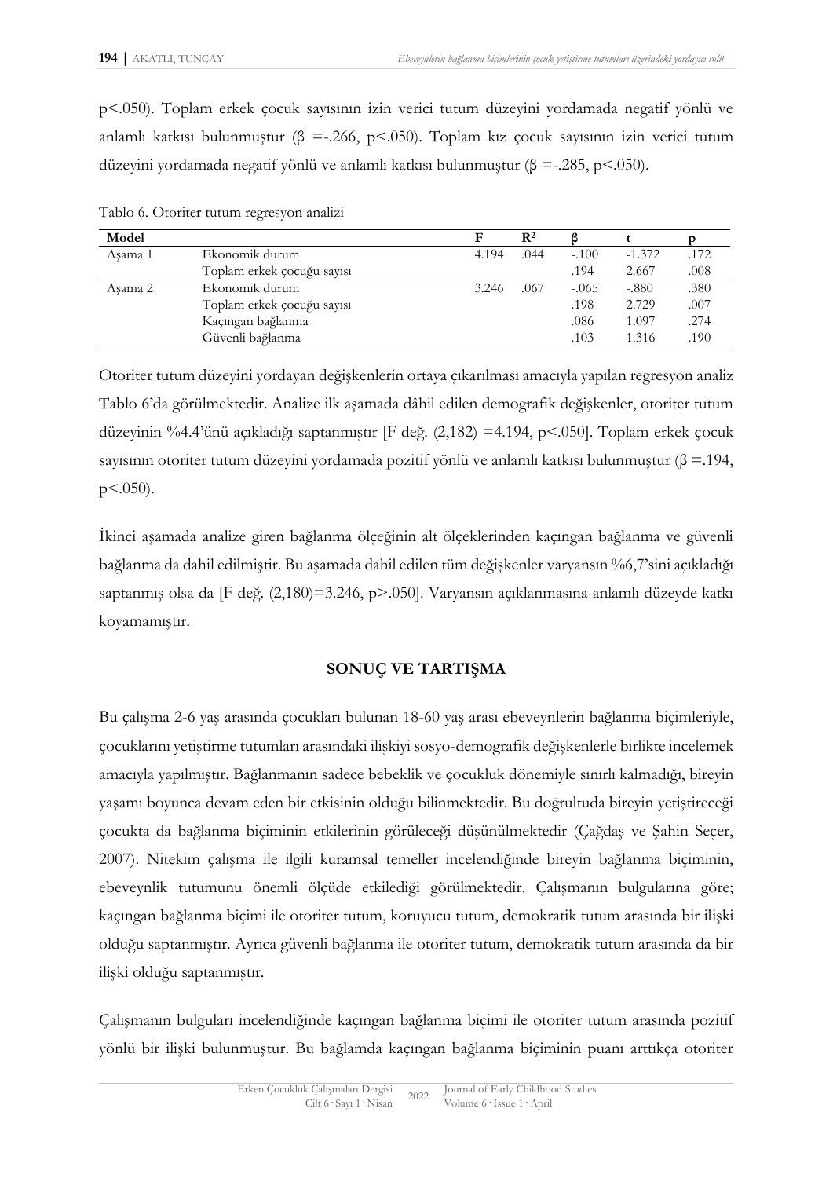p<.050). Toplam erkek çocuk sayısının izin verici tutum düzeyini yordamada negatif yönlü ve anlamlı katkısı bulunmuştur ( $\beta$  =-.266, p<.050). Toplam kız çocuk sayısının izin verici tutum düzeyini yordamada negatif yönlü ve anlamlı katkısı bulunmuştur ( $\beta = -285$ , p<.050).

| Model   |                            |       | $\mathbf{R}^2$ |         |          |      |
|---------|----------------------------|-------|----------------|---------|----------|------|
| Asama 1 | Ekonomik durum             | 4.194 | .044           | $-.100$ | $-1.372$ | .172 |
|         | Toplam erkek çocuğu sayısı |       |                | .194    | 2.667    | .008 |
| Asama 2 | Ekonomik durum             | 3.246 | .067           | $-.065$ | $-.880$  | .380 |
|         | Toplam erkek çocuğu sayısı |       |                | .198    | 2.729    | .007 |
|         | Kaçıngan bağlanma          |       |                | .086    | 1.097    | .274 |
|         | Güvenli bağlanma           |       |                | .103    | 1.316    | .190 |

Tablo 6. Otoriter tutum regresyon analizi

Otoriter tutum düzeyini yordayan değişkenlerin ortaya çıkarılması amacıyla yapılan regresyon analiz Tablo 6'da görülmektedir. Analize ilk aşamada dâhil edilen demografik değişkenler, otoriter tutum düzeyinin %4.4'ünü açıkladığı saptanmıştır [F değ. (2,182) =4.194, p<.050]. Toplam erkek çocuk sayısının otoriter tutum düzeyini yordamada pozitif yönlü ve anlamlı katkısı bulunmuştur (β =.194, p<.050).

İkinci aşamada analize giren bağlanma ölçeğinin alt ölçeklerinden kaçıngan bağlanma ve güvenli bağlanma da dahil edilmiştir. Bu aşamada dahil edilen tüm değişkenler varyansın %6,7'sini açıkladığı saptanmış olsa da [F değ. (2,180)=3.246, p>.050]. Varyansın açıklanmasına anlamlı düzeyde katkı koyamamıştır.

#### **SONUÇ VE TARTIŞMA**

Bu çalışma 2-6 yaş arasında çocukları bulunan 18-60 yaş arası ebeveynlerin bağlanma biçimleriyle, çocuklarını yetiştirme tutumları arasındaki ilişkiyi sosyo-demografik değişkenlerle birlikte incelemek amacıyla yapılmıştır. Bağlanmanın sadece bebeklik ve çocukluk dönemiyle sınırlı kalmadığı, bireyin yaşamı boyunca devam eden bir etkisinin olduğu bilinmektedir. Bu doğrultuda bireyin yetiştireceği çocukta da bağlanma biçiminin etkilerinin görüleceği düşünülmektedir (Çağdaş ve Şahin Seçer, 2007). Nitekim çalışma ile ilgili kuramsal temeller incelendiğinde bireyin bağlanma biçiminin, ebeveynlik tutumunu önemli ölçüde etkilediği görülmektedir. Çalışmanın bulgularına göre; kaçıngan bağlanma biçimi ile otoriter tutum, koruyucu tutum, demokratik tutum arasında bir ilişki olduğu saptanmıştır. Ayrıca güvenli bağlanma ile otoriter tutum, demokratik tutum arasında da bir ilişki olduğu saptanmıştır.

Çalışmanın bulguları incelendiğinde kaçıngan bağlanma biçimi ile otoriter tutum arasında pozitif yönlü bir ilişki bulunmuştur. Bu bağlamda kaçıngan bağlanma biçiminin puanı arttıkça otoriter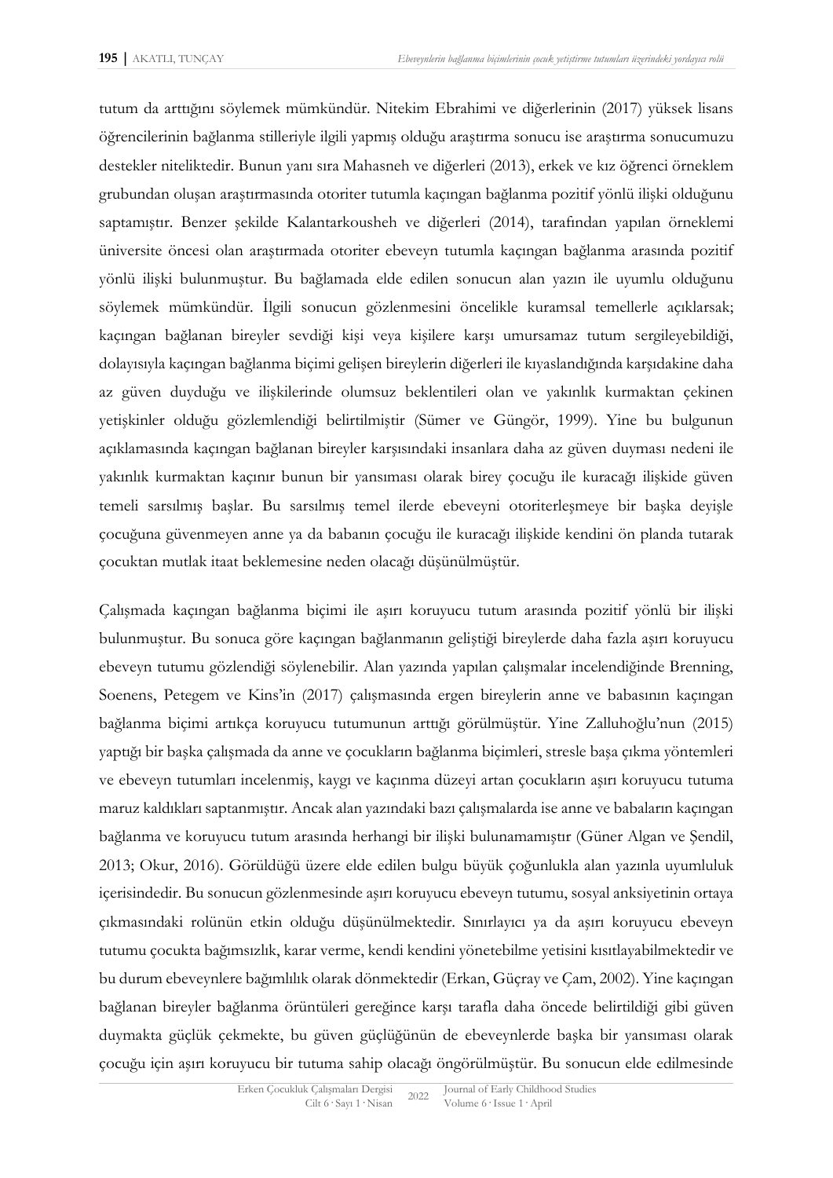tutum da arttığını söylemek mümkündür. Nitekim Ebrahimi ve diğerlerinin (2017) yüksek lisans öğrencilerinin bağlanma stilleriyle ilgili yapmış olduğu araştırma sonucu ise araştırma sonucumuzu destekler niteliktedir. Bunun yanı sıra Mahasneh ve diğerleri (2013), erkek ve kız öğrenci örneklem grubundan oluşan araştırmasında otoriter tutumla kaçıngan bağlanma pozitif yönlü ilişki olduğunu saptamıştır. Benzer şekilde Kalantarkousheh ve diğerleri (2014), tarafından yapılan örneklemi üniversite öncesi olan araştırmada otoriter ebeveyn tutumla kaçıngan bağlanma arasında pozitif yönlü ilişki bulunmuştur. Bu bağlamada elde edilen sonucun alan yazın ile uyumlu olduğunu söylemek mümkündür. İlgili sonucun gözlenmesini öncelikle kuramsal temellerle açıklarsak; kaçıngan bağlanan bireyler sevdiği kişi veya kişilere karşı umursamaz tutum sergileyebildiği, dolayısıyla kaçıngan bağlanma biçimi gelişen bireylerin diğerleri ile kıyaslandığında karşıdakine daha az güven duyduğu ve ilişkilerinde olumsuz beklentileri olan ve yakınlık kurmaktan çekinen yetişkinler olduğu gözlemlendiği belirtilmiştir (Sümer ve Güngör, 1999). Yine bu bulgunun açıklamasında kaçıngan bağlanan bireyler karşısındaki insanlara daha az güven duyması nedeni ile yakınlık kurmaktan kaçınır bunun bir yansıması olarak birey çocuğu ile kuracağı ilişkide güven temeli sarsılmış başlar. Bu sarsılmış temel ilerde ebeveyni otoriterleşmeye bir başka deyişle çocuğuna güvenmeyen anne ya da babanın çocuğu ile kuracağı ilişkide kendini ön planda tutarak çocuktan mutlak itaat beklemesine neden olacağı düşünülmüştür.

Çalışmada kaçıngan bağlanma biçimi ile aşırı koruyucu tutum arasında pozitif yönlü bir ilişki bulunmuştur. Bu sonuca göre kaçıngan bağlanmanın geliştiği bireylerde daha fazla aşırı koruyucu ebeveyn tutumu gözlendiği söylenebilir. Alan yazında yapılan çalışmalar incelendiğinde Brenning, Soenens, Petegem ve Kins'in (2017) çalışmasında ergen bireylerin anne ve babasının kaçıngan bağlanma biçimi artıkça koruyucu tutumunun arttığı görülmüştür. Yine Zalluhoğlu'nun (2015) yaptığı bir başka çalışmada da anne ve çocukların bağlanma biçimleri, stresle başa çıkma yöntemleri ve ebeveyn tutumları incelenmiş, kaygı ve kaçınma düzeyi artan çocukların aşırı koruyucu tutuma maruz kaldıkları saptanmıştır. Ancak alan yazındaki bazı çalışmalarda ise anne ve babaların kaçıngan bağlanma ve koruyucu tutum arasında herhangi bir ilişki bulunamamıştır (Güner Algan ve Şendil, 2013; Okur, 2016). Görüldüğü üzere elde edilen bulgu büyük çoğunlukla alan yazınla uyumluluk içerisindedir. Bu sonucun gözlenmesinde aşırı koruyucu ebeveyn tutumu, sosyal anksiyetinin ortaya çıkmasındaki rolünün etkin olduğu düşünülmektedir. Sınırlayıcı ya da aşırı koruyucu ebeveyn tutumu çocukta bağımsızlık, karar verme, kendi kendini yönetebilme yetisini kısıtlayabilmektedir ve bu durum ebeveynlere bağımlılık olarak dönmektedir (Erkan, Güçray ve Çam, 2002). Yine kaçıngan bağlanan bireyler bağlanma örüntüleri gereğince karşı tarafla daha öncede belirtildiği gibi güven duymakta güçlük çekmekte, bu güven güçlüğünün de ebeveynlerde başka bir yansıması olarak çocuğu için aşırı koruyucu bir tutuma sahip olacağı öngörülmüştür. Bu sonucun elde edilmesinde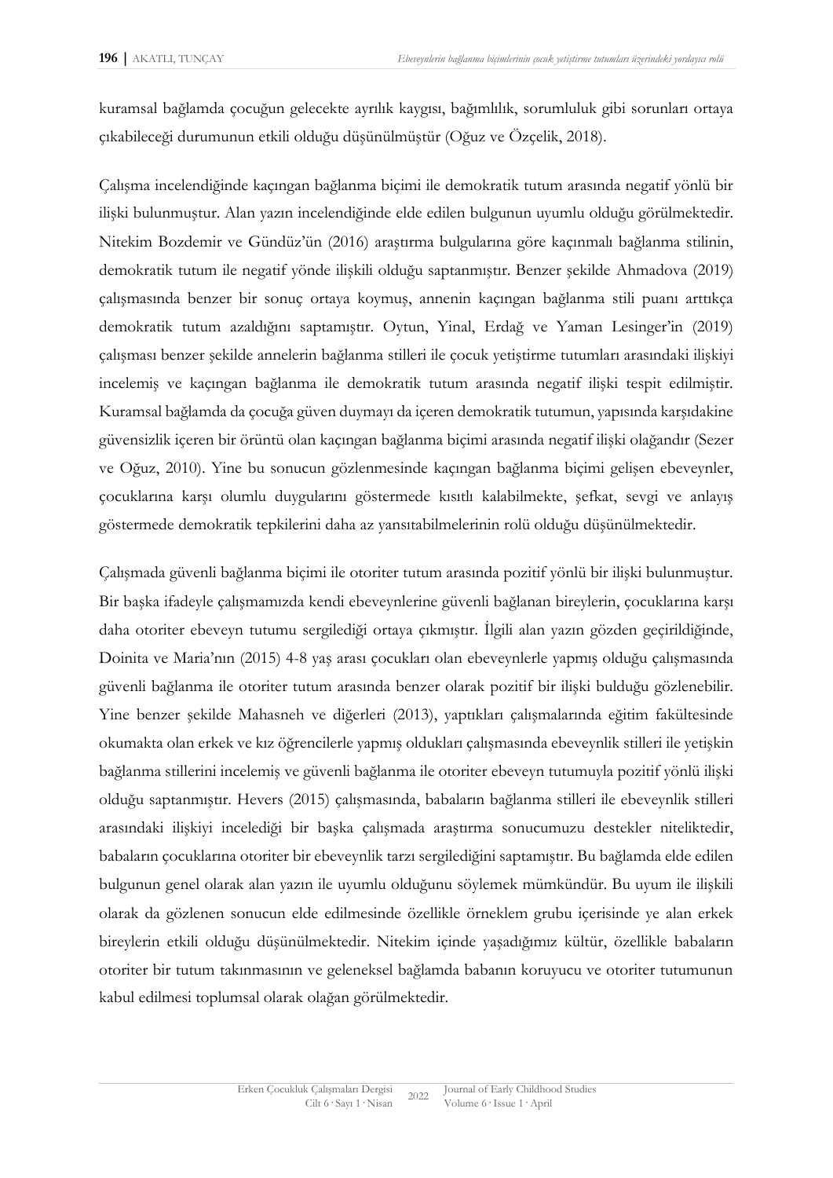kuramsal bağlamda çocuğun gelecekte ayrılık kaygısı, bağımlılık, sorumluluk gibi sorunları ortaya çıkabileceği durumunun etkili olduğu düşünülmüştür (Oğuz ve Özçelik, 2018).

Çalışma incelendiğinde kaçıngan bağlanma biçimi ile demokratik tutum arasında negatif yönlü bir ilişki bulunmuştur. Alan yazın incelendiğinde elde edilen bulgunun uyumlu olduğu görülmektedir. Nitekim Bozdemir ve Gündüz'ün (2016) araştırma bulgularına göre kaçınmalı bağlanma stilinin, demokratik tutum ile negatif yönde ilişkili olduğu saptanmıştır. Benzer şekilde Ahmadova (2019) çalışmasında benzer bir sonuç ortaya koymuş, annenin kaçıngan bağlanma stili puanı arttıkça demokratik tutum azaldığını saptamıştır. Oytun, Yinal, Erdağ ve Yaman Lesinger'in (2019) çalışması benzer şekilde annelerin bağlanma stilleri ile çocuk yetiştirme tutumları arasındaki ilişkiyi incelemiş ve kaçıngan bağlanma ile demokratik tutum arasında negatif ilişki tespit edilmiştir. Kuramsal bağlamda da çocuğa güven duymayı da içeren demokratik tutumun, yapısında karşıdakine güvensizlik içeren bir örüntü olan kaçıngan bağlanma biçimi arasında negatif ilişki olağandır (Sezer ve Oğuz, 2010). Yine bu sonucun gözlenmesinde kaçıngan bağlanma biçimi gelişen ebeveynler, çocuklarına karşı olumlu duygularını göstermede kısıtlı kalabilmekte, şefkat, sevgi ve anlayış göstermede demokratik tepkilerini daha az yansıtabilmelerinin rolü olduğu düşünülmektedir.

Çalışmada güvenli bağlanma biçimi ile otoriter tutum arasında pozitif yönlü bir ilişki bulunmuştur. Bir başka ifadeyle çalışmamızda kendi ebeveynlerine güvenli bağlanan bireylerin, çocuklarına karşı daha otoriter ebeveyn tutumu sergilediği ortaya çıkmıştır. İlgili alan yazın gözden geçirildiğinde, Doinita ve Maria'nın (2015) 4-8 yaş arası çocukları olan ebeveynlerle yapmış olduğu çalışmasında güvenli bağlanma ile otoriter tutum arasında benzer olarak pozitif bir ilişki bulduğu gözlenebilir. Yine benzer şekilde Mahasneh ve diğerleri (2013), yaptıkları çalışmalarında eğitim fakültesinde okumakta olan erkek ve kız öğrencilerle yapmış oldukları çalışmasında ebeveynlik stilleri ile yetişkin bağlanma stillerini incelemiş ve güvenli bağlanma ile otoriter ebeveyn tutumuyla pozitif yönlü ilişki olduğu saptanmıştır. Hevers (2015) çalışmasında, babaların bağlanma stilleri ile ebeveynlik stilleri arasındaki ilişkiyi incelediği bir başka çalışmada araştırma sonucumuzu destekler niteliktedir, babaların çocuklarına otoriter bir ebeveynlik tarzı sergilediğini saptamıştır. Bu bağlamda elde edilen bulgunun genel olarak alan yazın ile uyumlu olduğunu söylemek mümkündür. Bu uyum ile ilişkili olarak da gözlenen sonucun elde edilmesinde özellikle örneklem grubu içerisinde ye alan erkek bireylerin etkili olduğu düşünülmektedir. Nitekim içinde yaşadığımız kültür, özellikle babaların otoriter bir tutum takınmasının ve geleneksel bağlamda babanın koruyucu ve otoriter tutumunun kabul edilmesi toplumsal olarak olağan görülmektedir.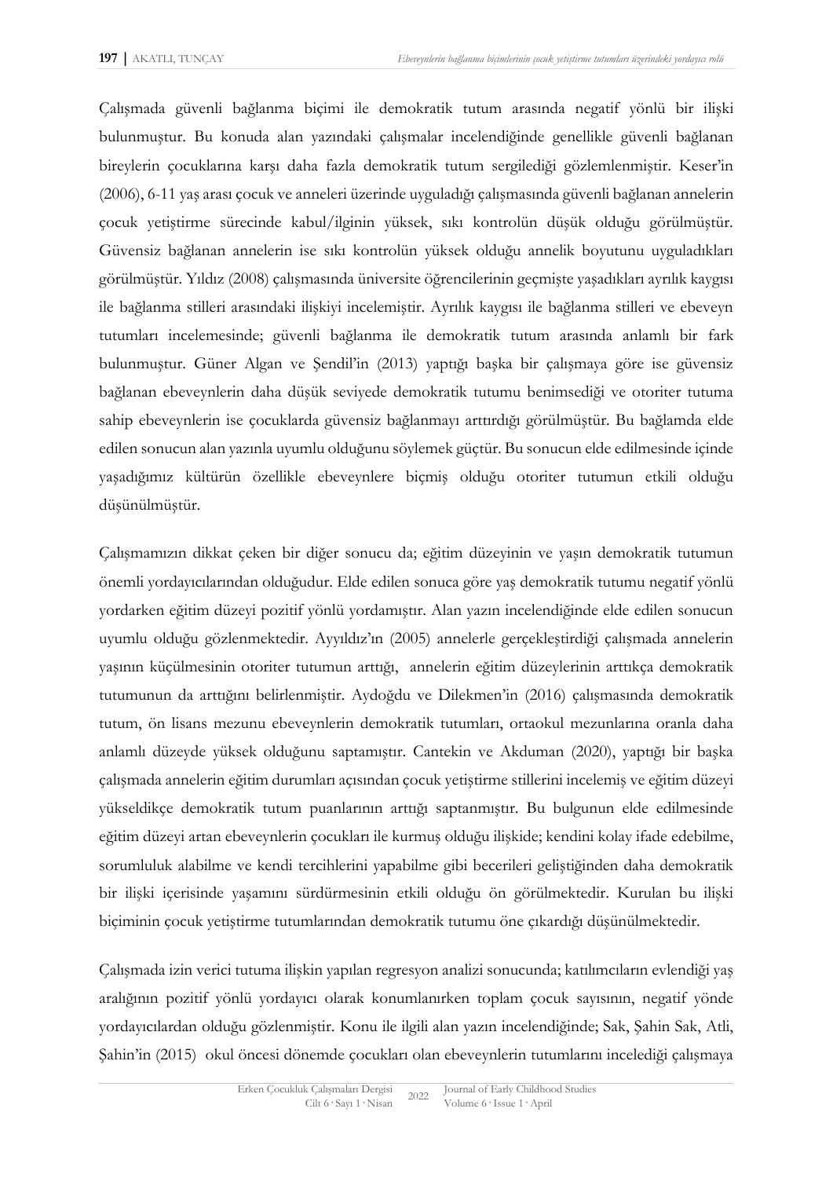Çalışmada güvenli bağlanma biçimi ile demokratik tutum arasında negatif yönlü bir ilişki bulunmuştur. Bu konuda alan yazındaki çalışmalar incelendiğinde genellikle güvenli bağlanan bireylerin çocuklarına karşı daha fazla demokratik tutum sergilediği gözlemlenmiştir. Keser'in (2006), 6-11 yaş arası çocuk ve anneleri üzerinde uyguladığı çalışmasında güvenli bağlanan annelerin çocuk yetiştirme sürecinde kabul/ilginin yüksek, sıkı kontrolün düşük olduğu görülmüştür. Güvensiz bağlanan annelerin ise sıkı kontrolün yüksek olduğu annelik boyutunu uyguladıkları görülmüştür. Yıldız (2008) çalışmasında üniversite öğrencilerinin geçmişte yaşadıkları ayrılık kaygısı ile bağlanma stilleri arasındaki ilişkiyi incelemiştir. Ayrılık kaygısı ile bağlanma stilleri ve ebeveyn tutumları incelemesinde; güvenli bağlanma ile demokratik tutum arasında anlamlı bir fark bulunmuştur. Güner Algan ve Şendil'in (2013) yaptığı başka bir çalışmaya göre ise güvensiz bağlanan ebeveynlerin daha düşük seviyede demokratik tutumu benimsediği ve otoriter tutuma sahip ebeveynlerin ise çocuklarda güvensiz bağlanmayı arttırdığı görülmüştür. Bu bağlamda elde edilen sonucun alan yazınla uyumlu olduğunu söylemek güçtür. Bu sonucun elde edilmesinde içinde yaşadığımız kültürün özellikle ebeveynlere biçmiş olduğu otoriter tutumun etkili olduğu düşünülmüştür.

Çalışmamızın dikkat çeken bir diğer sonucu da; eğitim düzeyinin ve yaşın demokratik tutumun önemli yordayıcılarından olduğudur. Elde edilen sonuca göre yaş demokratik tutumu negatif yönlü yordarken eğitim düzeyi pozitif yönlü yordamıştır. Alan yazın incelendiğinde elde edilen sonucun uyumlu olduğu gözlenmektedir. Ayyıldız'ın (2005) annelerle gerçekleştirdiği çalışmada annelerin yaşının küçülmesinin otoriter tutumun arttığı, annelerin eğitim düzeylerinin arttıkça demokratik tutumunun da arttığını belirlenmiştir. Aydoğdu ve Dilekmen'in (2016) çalışmasında demokratik tutum, ön lisans mezunu ebeveynlerin demokratik tutumları, ortaokul mezunlarına oranla daha anlamlı düzeyde yüksek olduğunu saptamıştır. Cantekin ve Akduman (2020), yaptığı bir başka çalışmada annelerin eğitim durumları açısından çocuk yetiştirme stillerini incelemiş ve eğitim düzeyi yükseldikçe demokratik tutum puanlarının arttığı saptanmıştır. Bu bulgunun elde edilmesinde eğitim düzeyi artan ebeveynlerin çocukları ile kurmuş olduğu ilişkide; kendini kolay ifade edebilme, sorumluluk alabilme ve kendi tercihlerini yapabilme gibi becerileri geliştiğinden daha demokratik bir ilişki içerisinde yaşamını sürdürmesinin etkili olduğu ön görülmektedir. Kurulan bu ilişki biçiminin çocuk yetiştirme tutumlarından demokratik tutumu öne çıkardığı düşünülmektedir.

Çalışmada izin verici tutuma ilişkin yapılan regresyon analizi sonucunda; katılımcıların evlendiği yaş aralığının pozitif yönlü yordayıcı olarak konumlanırken toplam çocuk sayısının, negatif yönde yordayıcılardan olduğu gözlenmiştir. Konu ile ilgili alan yazın incelendiğinde; Sak, Şahin Sak, Atli, Şahin'in (2015) okul öncesi dönemde çocukları olan ebeveynlerin tutumlarını incelediği çalışmaya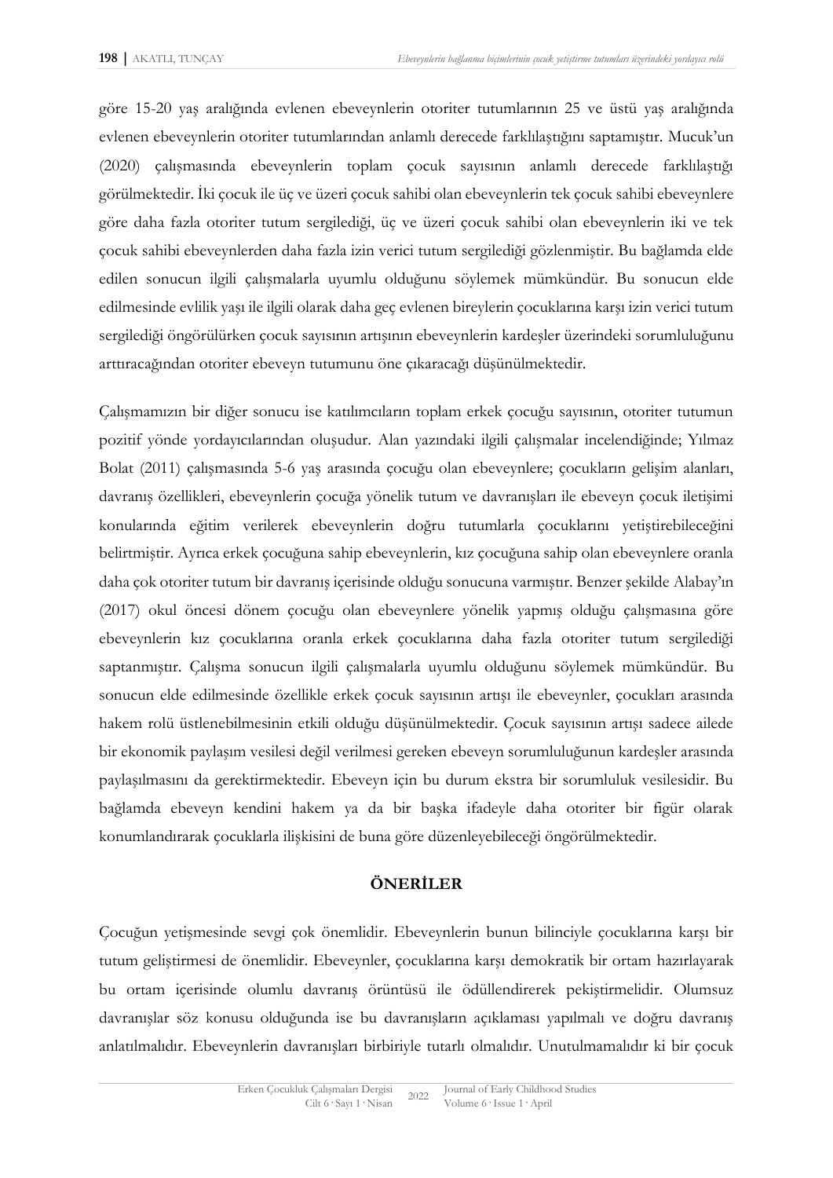göre 15-20 yaş aralığında evlenen ebeveynlerin otoriter tutumlarının 25 ve üstü yaş aralığında evlenen ebeveynlerin otoriter tutumlarından anlamlı derecede farklılaştığını saptamıştır. Mucuk'un (2020) çalışmasında ebeveynlerin toplam çocuk sayısının anlamlı derecede farklılaştığı görülmektedir. İki çocuk ile üç ve üzeri çocuk sahibi olan ebeveynlerin tek çocuk sahibi ebeveynlere göre daha fazla otoriter tutum sergilediği, üç ve üzeri çocuk sahibi olan ebeveynlerin iki ve tek çocuk sahibi ebeveynlerden daha fazla izin verici tutum sergilediği gözlenmiştir. Bu bağlamda elde edilen sonucun ilgili çalışmalarla uyumlu olduğunu söylemek mümkündür. Bu sonucun elde edilmesinde evlilik yaşı ile ilgili olarak daha geç evlenen bireylerin çocuklarına karşı izin verici tutum sergilediği öngörülürken çocuk sayısının artışının ebeveynlerin kardeşler üzerindeki sorumluluğunu arttıracağından otoriter ebeveyn tutumunu öne çıkaracağı düşünülmektedir.

Çalışmamızın bir diğer sonucu ise katılımcıların toplam erkek çocuğu sayısının, otoriter tutumun pozitif yönde yordayıcılarından oluşudur. Alan yazındaki ilgili çalışmalar incelendiğinde; Yılmaz Bolat (2011) çalışmasında 5-6 yaş arasında çocuğu olan ebeveynlere; çocukların gelişim alanları, davranış özellikleri, ebeveynlerin çocuğa yönelik tutum ve davranışları ile ebeveyn çocuk iletişimi konularında eğitim verilerek ebeveynlerin doğru tutumlarla çocuklarını yetiştirebileceğini belirtmiştir. Ayrıca erkek çocuğuna sahip ebeveynlerin, kız çocuğuna sahip olan ebeveynlere oranla daha çok otoriter tutum bir davranış içerisinde olduğu sonucuna varmıştır. Benzer şekilde Alabay'ın (2017) okul öncesi dönem çocuğu olan ebeveynlere yönelik yapmış olduğu çalışmasına göre ebeveynlerin kız çocuklarına oranla erkek çocuklarına daha fazla otoriter tutum sergilediği saptanmıştır. Çalışma sonucun ilgili çalışmalarla uyumlu olduğunu söylemek mümkündür. Bu sonucun elde edilmesinde özellikle erkek çocuk sayısının artışı ile ebeveynler, çocukları arasında hakem rolü üstlenebilmesinin etkili olduğu düşünülmektedir. Çocuk sayısının artışı sadece ailede bir ekonomik paylaşım vesilesi değil verilmesi gereken ebeveyn sorumluluğunun kardeşler arasında paylaşılmasını da gerektirmektedir. Ebeveyn için bu durum ekstra bir sorumluluk vesilesidir. Bu bağlamda ebeveyn kendini hakem ya da bir başka ifadeyle daha otoriter bir figür olarak konumlandırarak çocuklarla ilişkisini de buna göre düzenleyebileceği öngörülmektedir.

## **ÖNERİLER**

Çocuğun yetişmesinde sevgi çok önemlidir. Ebeveynlerin bunun bilinciyle çocuklarına karşı bir tutum geliştirmesi de önemlidir. Ebeveynler, çocuklarına karşı demokratik bir ortam hazırlayarak bu ortam içerisinde olumlu davranış örüntüsü ile ödüllendirerek pekiştirmelidir. Olumsuz davranışlar söz konusu olduğunda ise bu davranışların açıklaması yapılmalı ve doğru davranış anlatılmalıdır. Ebeveynlerin davranışları birbiriyle tutarlı olmalıdır. Unutulmamalıdır ki bir çocuk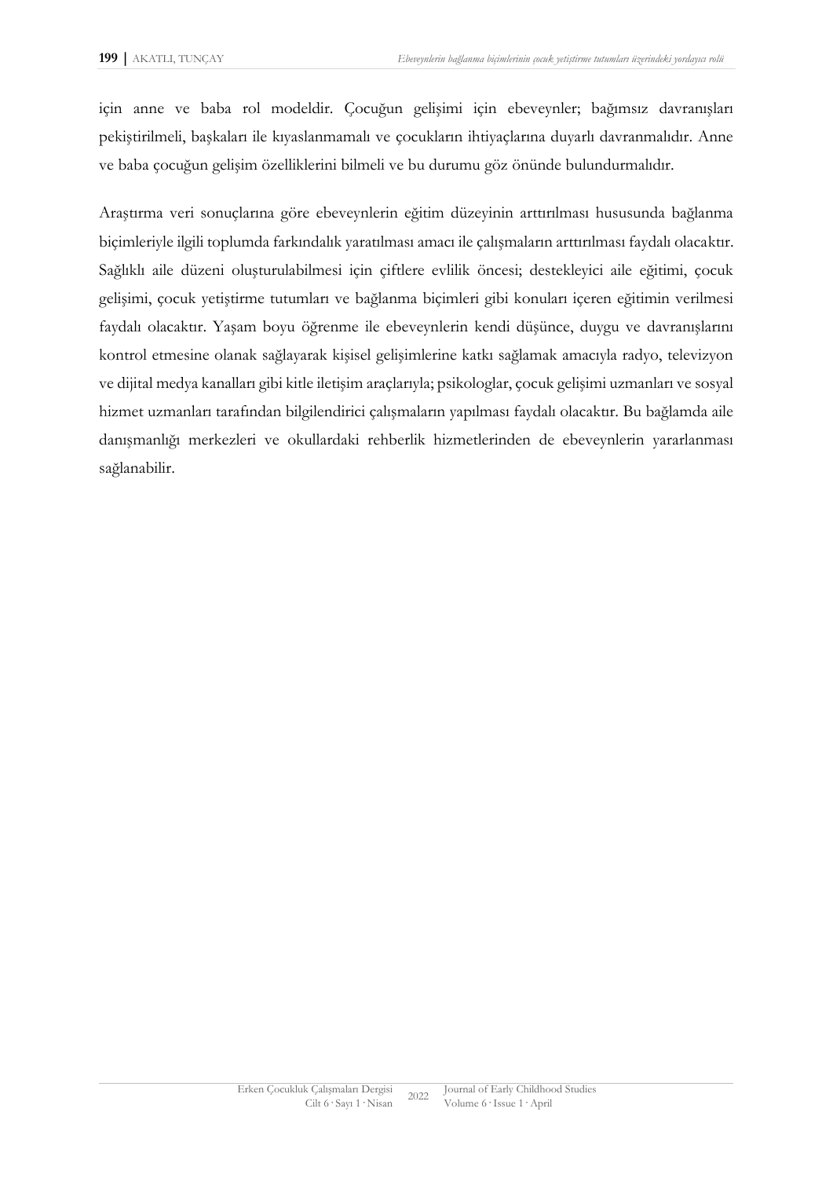için anne ve baba rol modeldir. Çocuğun gelişimi için ebeveynler; bağımsız davranışları pekiştirilmeli, başkaları ile kıyaslanmamalı ve çocukların ihtiyaçlarına duyarlı davranmalıdır. Anne ve baba çocuğun gelişim özelliklerini bilmeli ve bu durumu göz önünde bulundurmalıdır.

Araştırma veri sonuçlarına göre ebeveynlerin eğitim düzeyinin arttırılması hususunda bağlanma biçimleriyle ilgili toplumda farkındalık yaratılması amacı ile çalışmaların arttırılması faydalı olacaktır. Sağlıklı aile düzeni oluşturulabilmesi için çiftlere evlilik öncesi; destekleyici aile eğitimi, çocuk gelişimi, çocuk yetiştirme tutumları ve bağlanma biçimleri gibi konuları içeren eğitimin verilmesi faydalı olacaktır. Yaşam boyu öğrenme ile ebeveynlerin kendi düşünce, duygu ve davranışlarını kontrol etmesine olanak sağlayarak kişisel gelişimlerine katkı sağlamak amacıyla radyo, televizyon ve dijital medya kanalları gibi kitle iletişim araçlarıyla; psikologlar, çocuk gelişimi uzmanları ve sosyal hizmet uzmanları tarafından bilgilendirici çalışmaların yapılması faydalı olacaktır. Bu bağlamda aile danışmanlığı merkezleri ve okullardaki rehberlik hizmetlerinden de ebeveynlerin yararlanması sağlanabilir.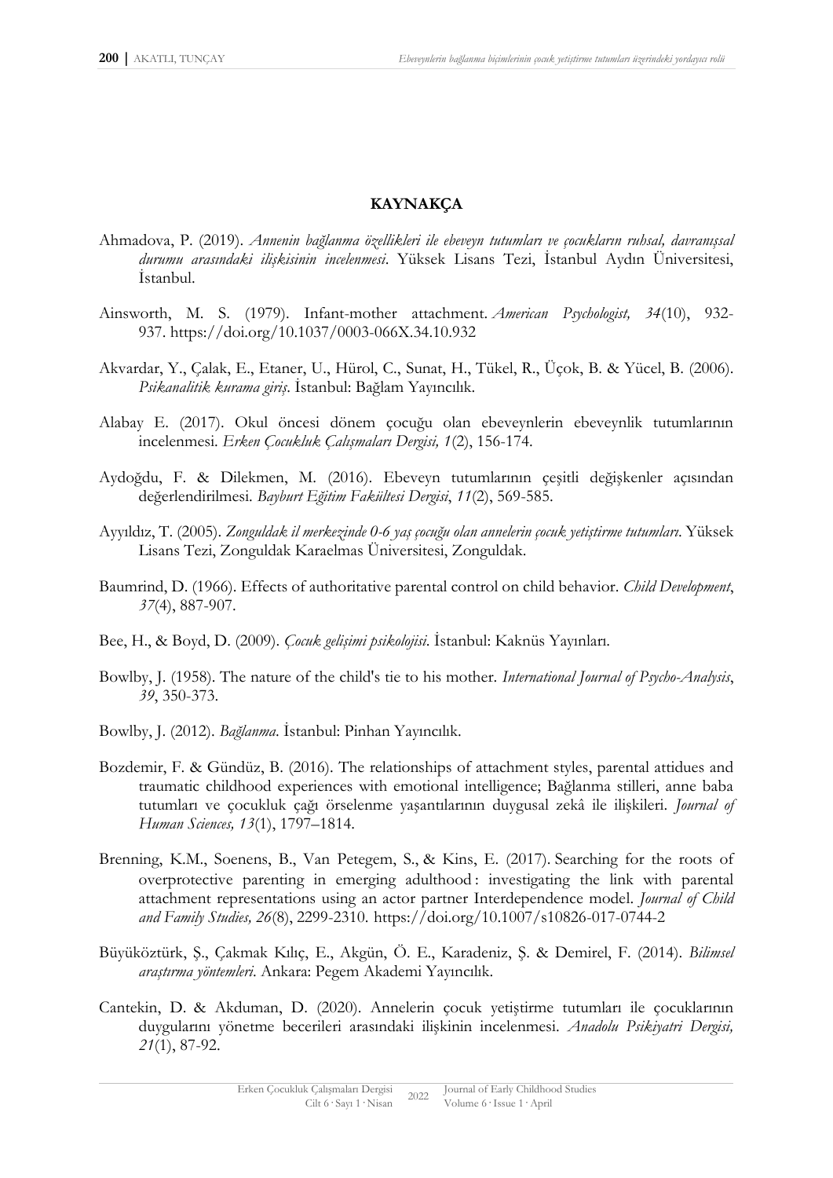#### **KAYNAKÇA**

- Ahmadova, P. (2019). *Annenin bağlanma özellikleri ile ebeveyn tutumları ve çocukların ruhsal, davranışsal durumu arasındaki ilişkisinin incelenmesi*. Yüksek Lisans Tezi, İstanbul Aydın Üniversitesi, İstanbul.
- Ainsworth, M. S. (1979). Infant-mother attachment. *American Psychologist, 34*(10), 932- 937. [https://doi.org/10.1037/0003-066X.34.10.932](https://psycnet.apa.org/doi/10.1037/0003-066X.34.10.932)
- Akvardar, Y., Çalak, E., Etaner, U., Hürol, C., Sunat, H., Tükel, R., Üçok, B. & Yücel, B. (2006). *Psikanalitik kurama giriş*. İstanbul: Bağlam Yayıncılık.
- Alabay E. (2017). Okul öncesi dönem çocuğu olan ebeveynlerin ebeveynlik tutumlarının incelenmesi. *Erken Çocukluk Çalışmaları Dergisi, 1*(2), 156-174.
- Aydoğdu, F. & Dilekmen, M. (2016). Ebeveyn tutumlarının çeşitli değişkenler açısından değerlendirilmesi. *Bayburt Eğitim Fakültesi Dergisi*, *11*(2), 569-585.
- Ayyıldız, T. (2005). *Zonguldak il merkezinde 0-6 yaş çocuğu olan annelerin çocuk yetiştirme tutumları*. Yüksek Lisans Tezi, Zonguldak Karaelmas Üniversitesi, Zonguldak.
- Baumrind, D. (1966). Effects of authoritative parental control on child behavior. *Child Development*, *37*(4), 887-907.
- Bee, H., & Boyd, D. (2009). *Çocuk gelişimi psikolojisi*. İstanbul: Kaknüs Yayınları.
- Bowlby, J. (1958). The nature of the child's tie to his mother. *International Journal of Psycho-Analysis*, *39*, 350-373.
- Bowlby, J. (2012). *Bağlanma*. İstanbul: Pinhan Yayıncılık.
- Bozdemir, F. & Gündüz, B. (2016). The relationships of attachment styles, parental attidues and traumatic childhood experiences with emotional intelligence; Bağlanma stilleri, anne baba tutumları ve çocukluk çağı örselenme yaşantılarının duygusal zekâ ile ilişkileri. *Journal of Human Sciences, 13*(1), 1797–1814.
- Brenning, K.M., Soenens, B., Van Petegem, S., & Kins, E. (2017). Searching for the roots of overprotective parenting in emerging adulthood : investigating the link with parental attachment representations using an actor partner Interdependence model. *Journal of Child and Family Studies, 26*(8), 2299-2310. https://doi.org/10.1007/s10826-017-0744-2
- Büyüköztürk, Ş., Çakmak Kılıç, E., Akgün, Ö. E., Karadeniz, Ş. & Demirel, F. (2014). *Bilimsel araştırma yöntemleri*. Ankara: Pegem Akademi Yayıncılık.
- Cantekin, D. & Akduman, D. (2020). Annelerin çocuk yetiştirme tutumları ile çocuklarının duygularını yönetme becerileri arasındaki ilişkinin incelenmesi. *Anadolu Psikiyatri Dergisi, 21*(1), 87-92.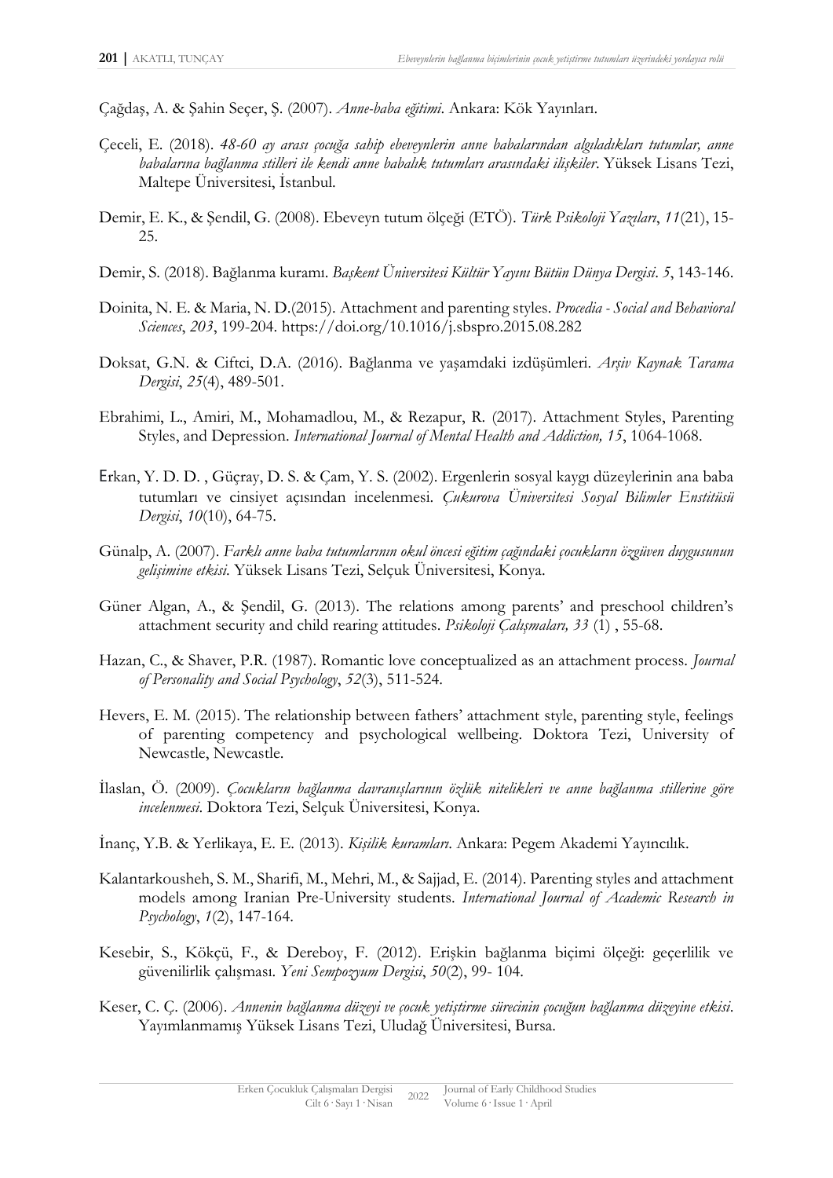Çağdaş, A. & Şahin Seçer, Ş. (2007). *Anne-baba eğitimi*. Ankara: Kök Yayınları.

- Çeceli, E. (2018). *48-60 ay arası çocuğa sahip ebeveynlerin anne babalarından algıladıkları tutumlar, anne babalarına bağlanma stilleri ile kendi anne babalık tutumları arasındaki ilişkiler*. Yüksek Lisans Tezi, Maltepe Üniversitesi, İstanbul.
- Demir, E. K., & Şendil, G. (2008). Ebeveyn tutum ölçeği (ETÖ). *Türk Psikoloji Yazıları*, *11*(21), 15- 25.
- Demir, S. (2018). Bağlanma kuramı. *Başkent Üniversitesi Kültür Yayını Bütün Dünya Dergisi*. *5*, 143-146.
- Doinita, N. E. & Maria, N. D.(2015). Attachment and parenting styles. *Procedia - Social and Behavioral Sciences*, *203*, 199-204.<https://doi.org/10.1016/j.sbspro.2015.08.282>
- Doksat, G.N. & Ciftci, D.A. (2016). Bağlanma ve yaşamdaki izdüşümleri. *Arşiv Kaynak Tarama Dergisi*, *25*(4), 489-501.
- Ebrahimi, L., Amiri, M., Mohamadlou, M., & Rezapur, R. (2017). Attachment Styles, Parenting Styles, and Depression. *International Journal of Mental Health and Addiction, 15*, 1064-1068.
- Erkan, Y. D. D. , Güçray, D. S. & Çam, Y. S. (2002). Ergenlerin sosyal kaygı düzeylerinin ana baba tutumları ve cinsiyet açısından incelenmesi. *Çukurova Üniversitesi Sosyal Bilimler Enstitüsü Dergisi*, *10*(10), 64-75.
- Günalp, A. (2007). *Farklı anne baba tutumlarının okul öncesi eğitim çağındaki çocukların özgüven duygusunun gelişimine etkisi*. Yüksek Lisans Tezi, Selçuk Üniversitesi, Konya.
- Güner Algan, A., & Şendil, G. (2013). The relations among parents' and preschool children's attachment security and child rearing attitudes. *Psikoloji Çalışmaları, 33* (1) , 55-68.
- Hazan, C., & Shaver, P.R. (1987). Romantic love conceptualized as an attachment process. *Journal of Personality and Social Psychology*, *52*(3), 511-524.
- Hevers, E. M. (2015). The relationship between fathers' attachment style, parenting style, feelings of parenting competency and psychological wellbeing. Doktora Tezi, University of Newcastle, Newcastle.
- İlaslan, Ö. (2009). *Çocukların bağlanma davranışlarının özlük nitelikleri ve anne bağlanma stillerine göre incelenmesi*. Doktora Tezi, Selçuk Üniversitesi, Konya.
- İnanç, Y.B. & Yerlikaya, E. E. (2013). *Kişilik kuramları*. Ankara: Pegem Akademi Yayıncılık.
- Kalantarkousheh, S. M., Sharifi, M., Mehri, M., & Sajjad, E. (2014). Parenting styles and attachment models among Iranian Pre-University students. *International Journal of Academic Research in Psychology*, *1*(2), 147-164.
- Kesebir, S., Kökçü, F., & Dereboy, F. (2012). Erişkin bağlanma biçimi ölçeği: geçerlilik ve güvenilirlik çalışması. *Yeni Sempozyum Dergisi*, *50*(2), 99- 104.
- Keser, C. Ç. (2006). *Annenin bağlanma düzeyi ve çocuk yetiştirme sürecinin çocuğun bağlanma düzeyine etkisi*. Yayımlanmamış Yüksek Lisans Tezi, Uludağ Üniversitesi, Bursa.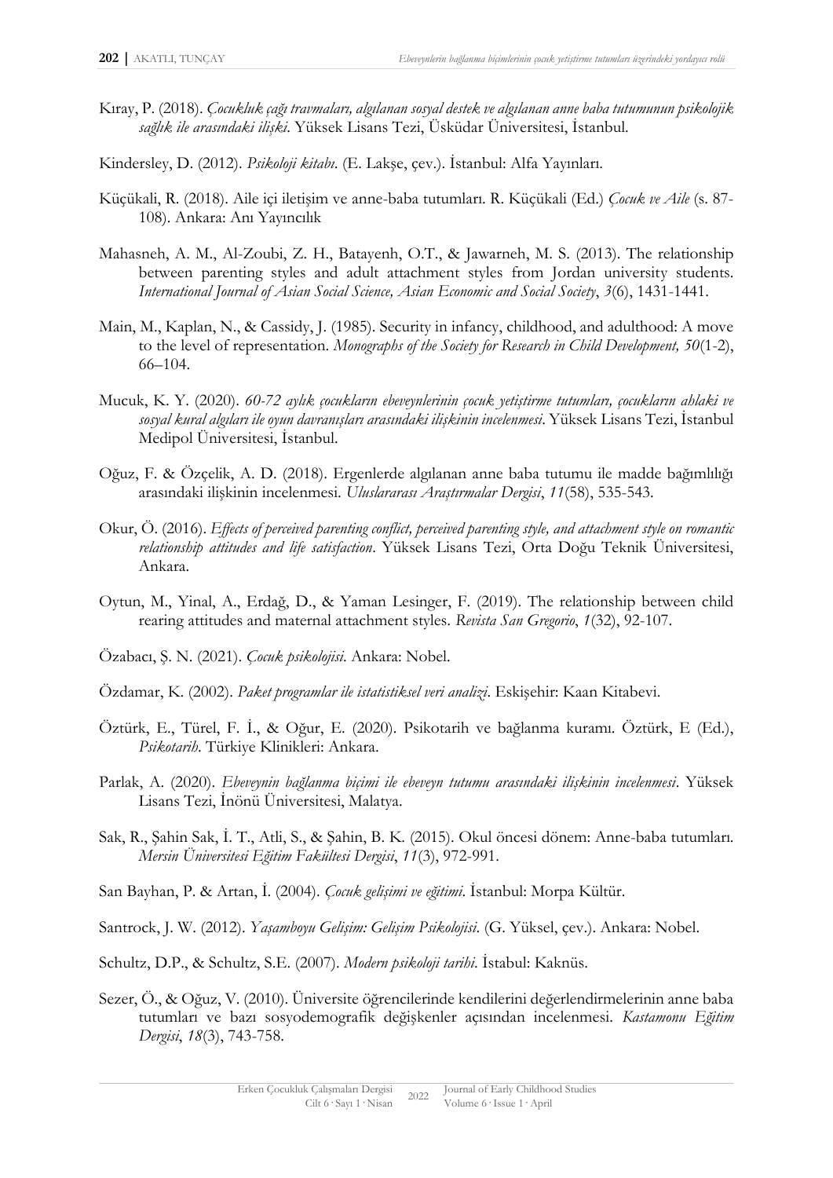- Kıray, P. (2018). *Çocukluk çağı travmaları, algılanan sosyal destek ve algılanan anne baba tutumunun psikolojik sağlık ile arasındaki ilişki*. Yüksek Lisans Tezi, Üsküdar Üniversitesi, İstanbul.
- Kindersley, D. (2012). *Psikoloji kitabı*. (E. Lakşe, çev.). İstanbul: Alfa Yayınları.
- Küçükali, R. (2018). Aile içi iletişim ve anne-baba tutumları. R. Küçükali (Ed.) *Çocuk ve Aile* (s. 87- 108). Ankara: Anı Yayıncılık
- Mahasneh, A. M., Al-Zoubi, Z. H., Batayenh, O.T., & Jawarneh, M. S. (2013). The relationship between parenting styles and adult attachment styles from Jordan university students. *International Journal of Asian Social Science, Asian Economic and Social Society*, *3*(6), 1431-1441.
- Main, M., Kaplan, N., & Cassidy, J. (1985). Security in infancy, childhood, and adulthood: A move to the level of representation. *Monographs of the Society for Research in Child Development, 50*(1-2), 66–104.
- Mucuk, K. Y. (2020). *60-72 aylık çocukların ebeveynlerinin çocuk yetiştirme tutumları, çocukların ahlaki ve sosyal kural algıları ile oyun davranışları arasındaki ilişkinin incelenmesi*. Yüksek Lisans Tezi, İstanbul Medipol Üniversitesi, İstanbul.
- Oğuz, F. & Özçelik, A. D. (2018). Ergenlerde algılanan anne baba tutumu ile madde bağımlılığı arasındaki ilişkinin incelenmesi. *Uluslararası Araştırmalar Dergisi*, *11*(58), 535-543.
- Okur, Ö. (2016). *Effects of perceived parenting conflict, perceived parenting style, and attachment style on romantic relationship attitudes and life satisfaction*. Yüksek Lisans Tezi, Orta Doğu Teknik Üniversitesi, Ankara.
- Oytun, M., Yinal, A., Erdağ, D., & Yaman Lesinger, F. (2019). The relationship between child rearing attitudes and maternal attachment styles*. [Revista San Gregorio](https://www.researchgate.net/journal/Revista-San-Gregorio-1390-7247)*, *1*(32), 92-107.
- Özabacı, Ş. N. (2021). *Çocuk psikolojisi*. Ankara: Nobel.
- Özdamar, K. (2002). *Paket programlar ile istatistiksel veri analizi*. Eskişehir: Kaan Kitabevi.
- Öztürk, E., Türel, F. İ., & Oğur, E. (2020). Psikotarih ve bağlanma kuramı. Öztürk, E (Ed.), *Psikotarih*. Türkiye Klinikleri: Ankara.
- Parlak, A. (2020). *Ebeveynin bağlanma biçimi ile ebeveyn tutumu arasındaki ilişkinin incelenmesi*. Yüksek Lisans Tezi, İnönü Üniversitesi, Malatya.
- Sak, R., Şahin Sak, İ. T., Atli, S., & Şahin, B. K. (2015). Okul öncesi dönem: Anne-baba tutumları. *Mersin Üniversitesi Eğitim Fakültesi Dergisi*, *11*(3), 972-991.
- San Bayhan, P. & Artan, İ. (2004). *Çocuk gelişimi ve eğitimi*. İstanbul: Morpa Kültür.
- Santrock, J. W. (2012). *Yaşamboyu Gelişim: Gelişim Psikolojisi*. (G. Yüksel, çev.). Ankara: Nobel.
- Schultz, D.P., & Schultz, S.E. (2007). *Modern psikoloji tarihi*. İstabul: Kaknüs.
- Sezer, Ö., & Oğuz, V. (2010). Üniversite öğrencilerinde kendilerini değerlendirmelerinin anne baba tutumları ve bazı sosyodemografik değişkenler açısından incelenmesi. *Kastamonu Eğitim Dergisi*, *18*(3), 743-758.